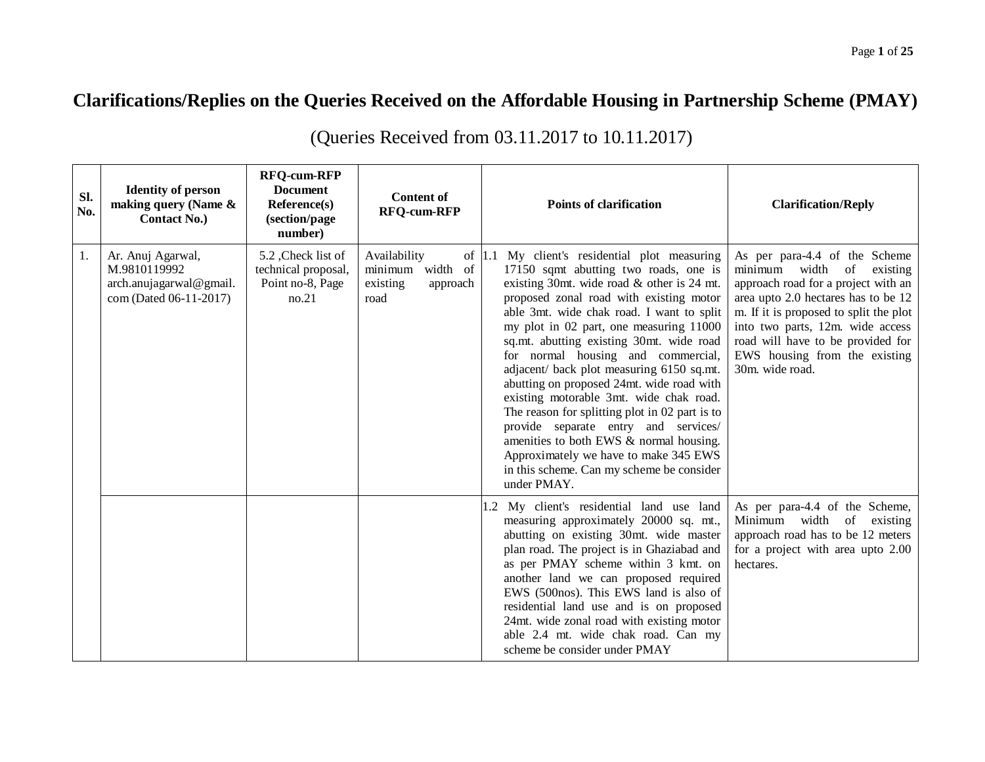## **Clarifications/Replies on the Queries Received on the Affordable Housing in Partnership Scheme (PMAY)**

| Sl.<br>No. | <b>Identity of person</b><br>making query (Name $\&$<br><b>Contact No.)</b>            | <b>RFQ-cum-RFP</b><br><b>Document</b><br>Reference(s)<br>(section/page<br>number) | <b>Content of</b><br><b>RFO-cum-RFP</b>                          | <b>Points of clarification</b>                                                                                                                                                                                                                                                                                                                                                                                                                                                                                                                                                                                                                                                                                                                        | <b>Clarification/Reply</b>                                                                                                                                                                                                                                                                                            |
|------------|----------------------------------------------------------------------------------------|-----------------------------------------------------------------------------------|------------------------------------------------------------------|-------------------------------------------------------------------------------------------------------------------------------------------------------------------------------------------------------------------------------------------------------------------------------------------------------------------------------------------------------------------------------------------------------------------------------------------------------------------------------------------------------------------------------------------------------------------------------------------------------------------------------------------------------------------------------------------------------------------------------------------------------|-----------------------------------------------------------------------------------------------------------------------------------------------------------------------------------------------------------------------------------------------------------------------------------------------------------------------|
| 1.         | Ar. Anuj Agarwal,<br>M.9810119992<br>arch.anujagarwal@gmail.<br>com (Dated 06-11-2017) | 5.2, Check list of<br>technical proposal,<br>Point no-8, Page<br>no.21            | Availability<br>minimum width of<br>existing<br>approach<br>road | of $ 1.1 \, \text{My}$ client's residential plot measuring<br>17150 sqmt abutting two roads, one is<br>existing 30mt. wide road & other is 24 mt.<br>proposed zonal road with existing motor<br>able 3mt. wide chak road. I want to split<br>my plot in 02 part, one measuring 11000<br>sq.mt. abutting existing 30mt. wide road<br>for normal housing and commercial,<br>adjacent/ back plot measuring 6150 sq.mt.<br>abutting on proposed 24mt. wide road with<br>existing motorable 3mt. wide chak road.<br>The reason for splitting plot in 02 part is to<br>provide separate entry and services/<br>amenities to both EWS & normal housing.<br>Approximately we have to make 345 EWS<br>in this scheme. Can my scheme be consider<br>under PMAY. | As per para-4.4 of the Scheme<br>minimum width<br>of<br>existing<br>approach road for a project with an<br>area upto 2.0 hectares has to be 12<br>m. If it is proposed to split the plot<br>into two parts, 12m. wide access<br>road will have to be provided for<br>EWS housing from the existing<br>30m. wide road. |
|            |                                                                                        |                                                                                   |                                                                  | 1.2 My client's residential land use land<br>measuring approximately 20000 sq. mt.,<br>abutting on existing 30mt. wide master<br>plan road. The project is in Ghaziabad and<br>as per PMAY scheme within 3 kmt. on<br>another land we can proposed required<br>EWS (500nos). This EWS land is also of<br>residential land use and is on proposed<br>24mt. wide zonal road with existing motor<br>able 2.4 mt. wide chak road. Can my<br>scheme be consider under PMAY                                                                                                                                                                                                                                                                                 | As per para-4.4 of the Scheme,<br>Minimum width of<br>existing<br>approach road has to be 12 meters<br>for a project with area upto 2.00<br>hectares.                                                                                                                                                                 |

(Queries Received from 03.11.2017 to 10.11.2017)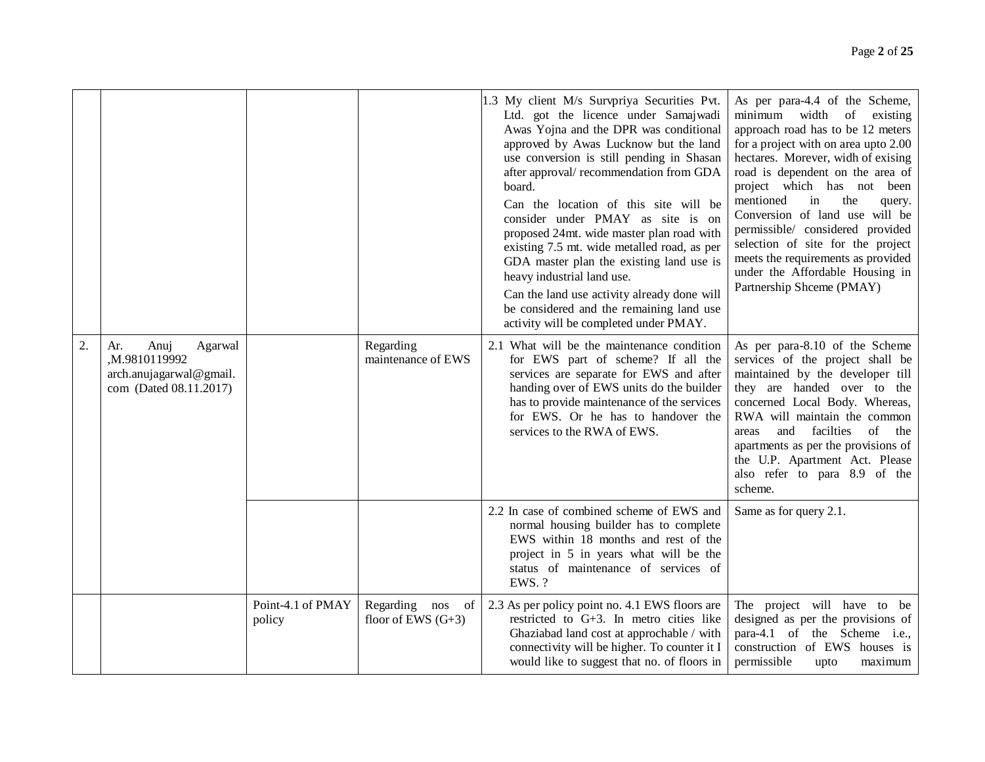|    |                                                                                             |                             |                                             | 1.3 My client M/s Survpriya Securities Pvt.<br>Ltd. got the licence under Samajwadi<br>Awas Yojna and the DPR was conditional<br>approved by Awas Lucknow but the land<br>use conversion is still pending in Shasan<br>after approval/recommendation from GDA<br>board.<br>Can the location of this site will be<br>consider under PMAY as site is on<br>proposed 24mt. wide master plan road with<br>existing 7.5 mt. wide metalled road, as per<br>GDA master plan the existing land use is<br>heavy industrial land use.<br>Can the land use activity already done will<br>be considered and the remaining land use<br>activity will be completed under PMAY. | As per para-4.4 of the Scheme,<br>minimum width of existing<br>approach road has to be 12 meters<br>for a project with on area upto 2.00<br>hectares. Morever, widh of exising<br>road is dependent on the area of<br>project which has not been<br>mentioned<br>in<br>the<br>query.<br>Conversion of land use will be<br>permissible/ considered provided<br>selection of site for the project<br>meets the requirements as provided<br>under the Affordable Housing in<br>Partnership Shceme (PMAY) |
|----|---------------------------------------------------------------------------------------------|-----------------------------|---------------------------------------------|------------------------------------------------------------------------------------------------------------------------------------------------------------------------------------------------------------------------------------------------------------------------------------------------------------------------------------------------------------------------------------------------------------------------------------------------------------------------------------------------------------------------------------------------------------------------------------------------------------------------------------------------------------------|-------------------------------------------------------------------------------------------------------------------------------------------------------------------------------------------------------------------------------------------------------------------------------------------------------------------------------------------------------------------------------------------------------------------------------------------------------------------------------------------------------|
| 2. | Ar.<br>Anuj<br>Agarwal<br>M.9810119992<br>arch.anujagarwal@gmail.<br>com (Dated 08.11.2017) |                             | Regarding<br>maintenance of EWS             | 2.1 What will be the maintenance condition<br>for EWS part of scheme? If all the<br>services are separate for EWS and after<br>handing over of EWS units do the builder<br>has to provide maintenance of the services<br>for EWS. Or he has to handover the<br>services to the RWA of EWS.                                                                                                                                                                                                                                                                                                                                                                       | As per para-8.10 of the Scheme<br>services of the project shall be<br>maintained by the developer till<br>they are handed over to the<br>concerned Local Body. Whereas,<br>RWA will maintain the common<br>and facilties<br>of<br>the<br>areas<br>apartments as per the provisions of<br>the U.P. Apartment Act. Please<br>also refer to para 8.9 of the<br>scheme.                                                                                                                                   |
|    |                                                                                             |                             |                                             | 2.2 In case of combined scheme of EWS and<br>normal housing builder has to complete<br>EWS within 18 months and rest of the<br>project in 5 in years what will be the<br>status of maintenance of services of<br>EWS. ?                                                                                                                                                                                                                                                                                                                                                                                                                                          | Same as for query 2.1.                                                                                                                                                                                                                                                                                                                                                                                                                                                                                |
|    |                                                                                             | Point-4.1 of PMAY<br>policy | Regarding nos<br>of<br>floor of EWS $(G+3)$ | 2.3 As per policy point no. 4.1 EWS floors are<br>restricted to $G+3$ . In metro cities like<br>Ghaziabad land cost at approchable / with<br>connectivity will be higher. To counter it I<br>would like to suggest that no. of floors in                                                                                                                                                                                                                                                                                                                                                                                                                         | The project will have to be<br>designed as per the provisions of<br>para-4.1 of the Scheme i.e.,<br>construction of EWS houses is<br>permissible<br>maximum<br>upto                                                                                                                                                                                                                                                                                                                                   |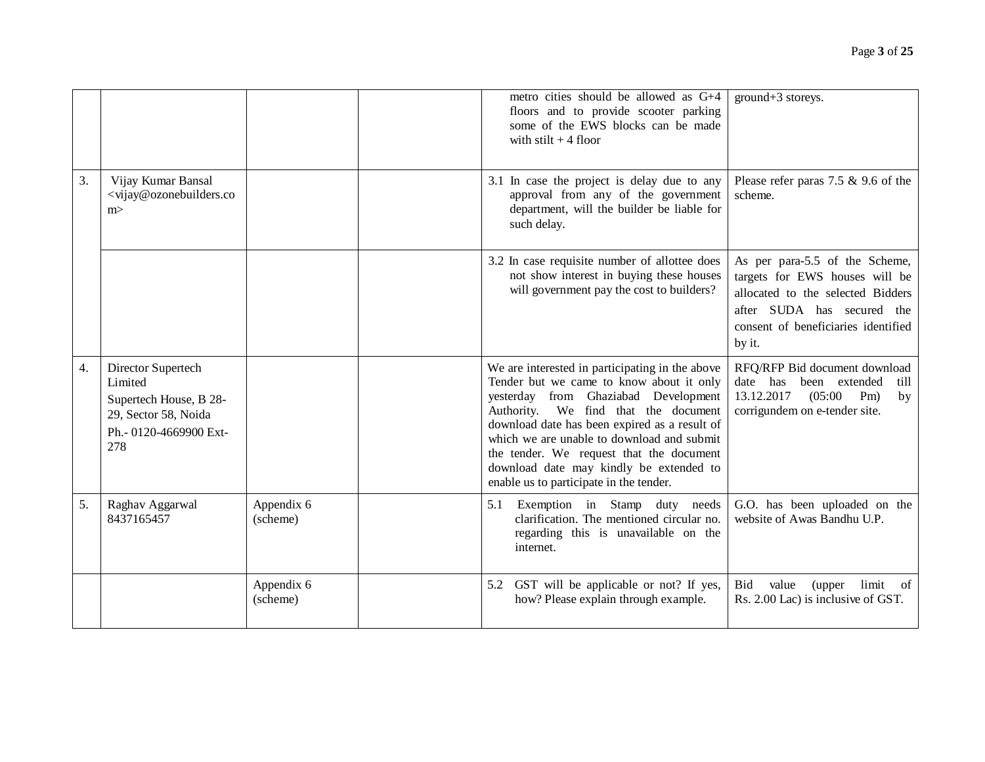|    |                                                                                                                  |                        | metro cities should be allowed as G+4<br>floors and to provide scooter parking<br>some of the EWS blocks can be made<br>with stilt $+4$ floor                                                                                                                                                                                                                                                                | ground+3 storeys.                                                                                                                                                                    |
|----|------------------------------------------------------------------------------------------------------------------|------------------------|--------------------------------------------------------------------------------------------------------------------------------------------------------------------------------------------------------------------------------------------------------------------------------------------------------------------------------------------------------------------------------------------------------------|--------------------------------------------------------------------------------------------------------------------------------------------------------------------------------------|
| 3. | Vijay Kumar Bansal<br><vijay@ozonebuilders.co<br>m&gt;</vijay@ozonebuilders.co<br>                               |                        | 3.1 In case the project is delay due to any<br>approval from any of the government<br>department, will the builder be liable for<br>such delay.                                                                                                                                                                                                                                                              | Please refer paras $7.5 \& 9.6$ of the<br>scheme.                                                                                                                                    |
|    |                                                                                                                  |                        | 3.2 In case requisite number of allottee does<br>not show interest in buying these houses<br>will government pay the cost to builders?                                                                                                                                                                                                                                                                       | As per para-5.5 of the Scheme,<br>targets for EWS houses will be<br>allocated to the selected Bidders<br>after SUDA has secured the<br>consent of beneficiaries identified<br>by it. |
| 4. | Director Supertech<br>Limited<br>Supertech House, B 28-<br>29, Sector 58, Noida<br>Ph.- 0120-4669900 Ext-<br>278 |                        | We are interested in participating in the above<br>Tender but we came to know about it only<br>yesterday from Ghaziabad Development<br>Authority. We find that the document<br>download date has been expired as a result of<br>which we are unable to download and submit<br>the tender. We request that the document<br>download date may kindly be extended to<br>enable us to participate in the tender. | RFQ/RFP Bid document download<br>date has been extended<br>till<br>13.12.2017<br>(05:00)<br>$Pm$ )<br>by<br>corrigundem on e-tender site.                                            |
| 5. | Raghav Aggarwal<br>8437165457                                                                                    | Appendix 6<br>(scheme) | 5.1 Exemption in Stamp duty needs<br>clarification. The mentioned circular no.<br>regarding this is unavailable on the<br>internet.                                                                                                                                                                                                                                                                          | G.O. has been uploaded on the<br>website of Awas Bandhu U.P.                                                                                                                         |
|    |                                                                                                                  | Appendix 6<br>(scheme) | 5.2 GST will be applicable or not? If yes,<br>how? Please explain through example.                                                                                                                                                                                                                                                                                                                           | value<br>limit of<br>Bid<br>(upper<br>Rs. 2.00 Lac) is inclusive of GST.                                                                                                             |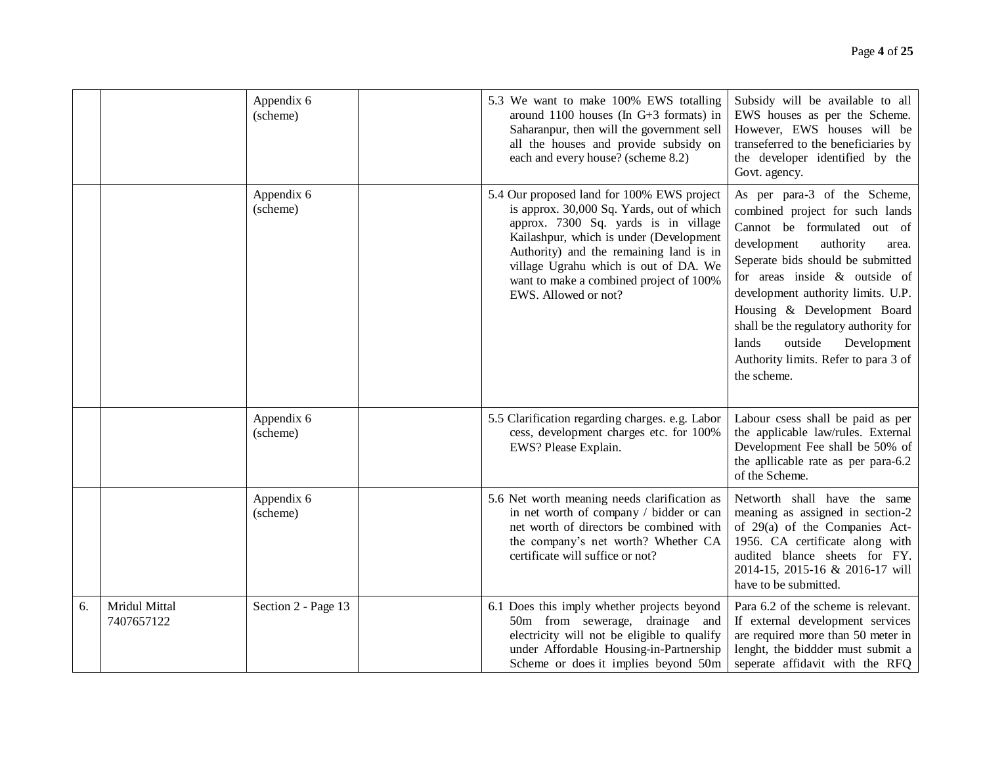|    |                             | Appendix 6<br>(scheme) | 5.3 We want to make 100% EWS totalling<br>around 1100 houses (In $G+3$ formats) in<br>Saharanpur, then will the government sell<br>all the houses and provide subsidy on<br>each and every house? (scheme 8.2)                                                                                                                    | Subsidy will be available to all<br>EWS houses as per the Scheme.<br>However, EWS houses will be<br>transeferred to the beneficiaries by<br>the developer identified by the<br>Govt. agency.                                                                                                                                                                                                                         |
|----|-----------------------------|------------------------|-----------------------------------------------------------------------------------------------------------------------------------------------------------------------------------------------------------------------------------------------------------------------------------------------------------------------------------|----------------------------------------------------------------------------------------------------------------------------------------------------------------------------------------------------------------------------------------------------------------------------------------------------------------------------------------------------------------------------------------------------------------------|
|    |                             | Appendix 6<br>(scheme) | 5.4 Our proposed land for 100% EWS project<br>is approx. 30,000 Sq. Yards, out of which<br>approx. 7300 Sq. yards is in village<br>Kailashpur, which is under (Development<br>Authority) and the remaining land is in<br>village Ugrahu which is out of DA. We<br>want to make a combined project of 100%<br>EWS. Allowed or not? | As per para-3 of the Scheme,<br>combined project for such lands<br>Cannot be formulated out of<br>development<br>authority<br>area.<br>Seperate bids should be submitted<br>for areas inside $\&$ outside of<br>development authority limits. U.P.<br>Housing & Development Board<br>shall be the regulatory authority for<br>lands<br>outside<br>Development<br>Authority limits. Refer to para 3 of<br>the scheme. |
|    |                             | Appendix 6<br>(scheme) | 5.5 Clarification regarding charges. e.g. Labor<br>cess, development charges etc. for 100%<br>EWS? Please Explain.                                                                                                                                                                                                                | Labour csess shall be paid as per<br>the applicable law/rules. External<br>Development Fee shall be 50% of<br>the apllicable rate as per para-6.2<br>of the Scheme.                                                                                                                                                                                                                                                  |
|    |                             | Appendix 6<br>(scheme) | 5.6 Net worth meaning needs clarification as<br>in net worth of company / bidder or can<br>net worth of directors be combined with<br>the company's net worth? Whether CA<br>certificate will suffice or not?                                                                                                                     | Networth shall have the same<br>meaning as assigned in section-2<br>of 29(a) of the Companies Act-<br>1956. CA certificate along with<br>audited blance sheets for FY.<br>2014-15, 2015-16 & 2016-17 will<br>have to be submitted.                                                                                                                                                                                   |
| 6. | Mridul Mittal<br>7407657122 | Section 2 - Page 13    | 6.1 Does this imply whether projects beyond<br>50m from sewerage, drainage and<br>electricity will not be eligible to qualify<br>under Affordable Housing-in-Partnership<br>Scheme or does it implies beyond 50m                                                                                                                  | Para 6.2 of the scheme is relevant.<br>If external development services<br>are required more than 50 meter in<br>lenght, the biddder must submit a<br>seperate affidavit with the RFQ                                                                                                                                                                                                                                |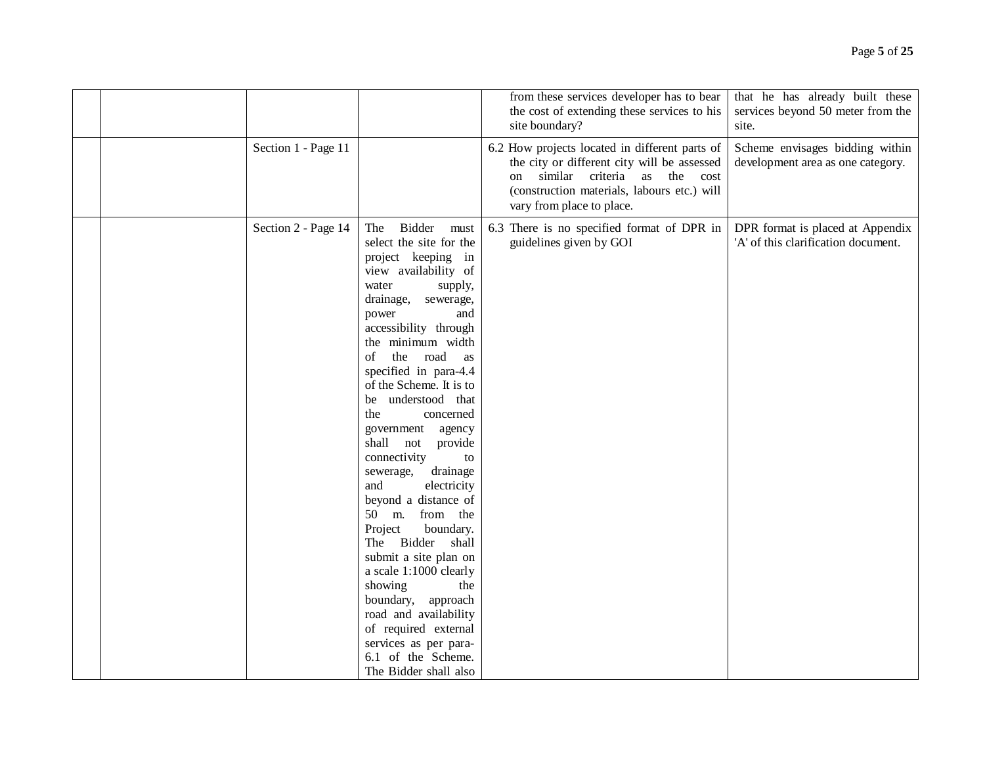|                     |                                                                                                                                                                                                                                                                                                                                                                                                                                                                                                                                                                                                                                                                                                                                                                    | from these services developer has to bear<br>the cost of extending these services to his<br>site boundary?                                                                                                      | that he has already built these<br>services beyond 50 meter from the<br>site. |
|---------------------|--------------------------------------------------------------------------------------------------------------------------------------------------------------------------------------------------------------------------------------------------------------------------------------------------------------------------------------------------------------------------------------------------------------------------------------------------------------------------------------------------------------------------------------------------------------------------------------------------------------------------------------------------------------------------------------------------------------------------------------------------------------------|-----------------------------------------------------------------------------------------------------------------------------------------------------------------------------------------------------------------|-------------------------------------------------------------------------------|
| Section 1 - Page 11 |                                                                                                                                                                                                                                                                                                                                                                                                                                                                                                                                                                                                                                                                                                                                                                    | 6.2 How projects located in different parts of<br>the city or different city will be assessed<br>similar criteria as the cost<br>on<br>(construction materials, labours etc.) will<br>vary from place to place. | Scheme envisages bidding within<br>development area as one category.          |
| Section 2 - Page 14 | Bidder<br>The<br>must<br>select the site for the<br>project keeping in<br>view availability of<br>water<br>supply,<br>drainage,<br>sewerage,<br>power<br>and<br>accessibility through<br>the minimum width<br>the<br>road<br>of<br>as<br>specified in para-4.4<br>of the Scheme. It is to<br>be understood that<br>the<br>concerned<br>government<br>agency<br>shall not<br>provide<br>connectivity<br>to<br>drainage<br>sewerage,<br>electricity<br>and<br>beyond a distance of<br>50 m. from the<br>Project<br>boundary.<br>The Bidder shall<br>submit a site plan on<br>a scale 1:1000 clearly<br>showing<br>the<br>boundary, approach<br>road and availability<br>of required external<br>services as per para-<br>6.1 of the Scheme.<br>The Bidder shall also | 6.3 There is no specified format of DPR in<br>guidelines given by GOI                                                                                                                                           | DPR format is placed at Appendix<br>'A' of this clarification document.       |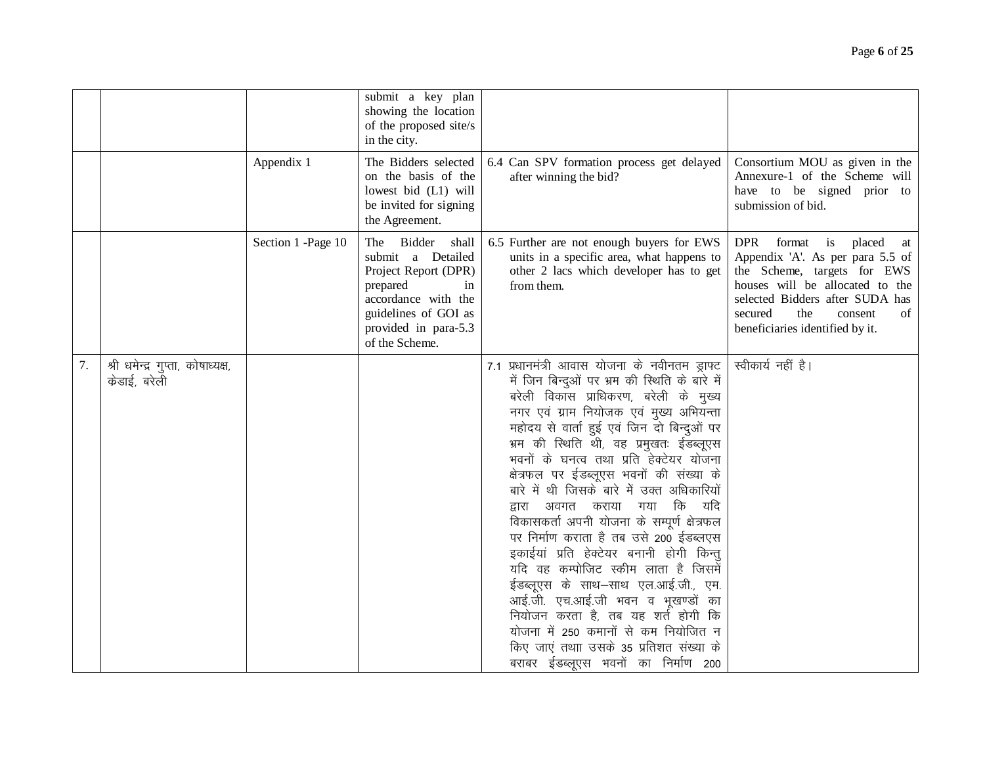|    |                                                   |                    | submit a key plan<br>showing the location<br>of the proposed site/s<br>in the city.                                                                                      |                                                                                                                                                                                                                                                                                                                                                                                                                                                                                                                                                                                                                                                                                                                                                                                                                                                                           |                                                                                                                                                                                                                                                        |
|----|---------------------------------------------------|--------------------|--------------------------------------------------------------------------------------------------------------------------------------------------------------------------|---------------------------------------------------------------------------------------------------------------------------------------------------------------------------------------------------------------------------------------------------------------------------------------------------------------------------------------------------------------------------------------------------------------------------------------------------------------------------------------------------------------------------------------------------------------------------------------------------------------------------------------------------------------------------------------------------------------------------------------------------------------------------------------------------------------------------------------------------------------------------|--------------------------------------------------------------------------------------------------------------------------------------------------------------------------------------------------------------------------------------------------------|
|    |                                                   | Appendix 1         | The Bidders selected<br>on the basis of the<br>lowest bid (L1) will<br>be invited for signing<br>the Agreement.                                                          | 6.4 Can SPV formation process get delayed<br>after winning the bid?                                                                                                                                                                                                                                                                                                                                                                                                                                                                                                                                                                                                                                                                                                                                                                                                       | Consortium MOU as given in the<br>Annexure-1 of the Scheme will<br>have to be signed prior to<br>submission of bid.                                                                                                                                    |
|    |                                                   | Section 1 -Page 10 | The Bidder shall<br>submit a Detailed<br>Project Report (DPR)<br>prepared<br>in<br>accordance with the<br>guidelines of GOI as<br>provided in para-5.3<br>of the Scheme. | 6.5 Further are not enough buyers for EWS<br>units in a specific area, what happens to<br>other 2 lacs which developer has to get<br>from them.                                                                                                                                                                                                                                                                                                                                                                                                                                                                                                                                                                                                                                                                                                                           | <b>DPR</b><br>format is<br>placed<br>at<br>Appendix 'A'. As per para 5.5 of<br>the Scheme, targets for EWS<br>houses will be allocated to the<br>selected Bidders after SUDA has<br>secured<br>the<br>consent<br>of<br>beneficiaries identified by it. |
| 7. | श्री धमेन्द्र गुप्ता, कोषाध्यक्ष,<br>केडाई, बरेली |                    |                                                                                                                                                                          | 7.1 प्रधानमंत्री आवास योजना के नवीनतम ड्राफ्ट<br>में जिन बिन्दुओं पर भ्रम की स्थिति के बारे में<br>बरेली विकास प्राधिकरण, बरेली के मुख्य<br>नगर एवं ग्राम नियोजक एवं मुख्य अभियन्ता<br>महोदय से वार्ता हुई एवं जिन दो बिन्दुओं पर<br>भ्रम की स्थिति थी, वह प्रमुखतः ईडब्लूएस<br>भवनों के घनत्व तथा प्रति हेक्टेयर योजना<br>क्षेत्रफल पर ईडब्लूएस भवनों की संख्या के<br>बारे में थी जिसके बारे में उक्त अधिकारियों<br>द्वारा अवगत कराया गया कि यदि<br>विकासकर्ता अपनी योजना के सम्पूर्ण क्षेत्रफल<br>पर निर्माण कराता है तब उसे 200 ईडब्लएस<br>इकाईयां प्रति हेक्टेयर बनानी होगी किन्त्<br>यदि वह कम्पोजिट स्कीम लाता है जिसमें<br>ईडब्लूएस के साथ-साथ एल.आई.जी., एम.<br>आई.जी. एच.आई.जी भवन व भूखण्डों का<br>नियोजन करता है, तब यह शर्त होगी कि<br>योजना में 250 कमानों से कम नियोजित न<br>किए जाएं तथाा उसके 35 प्रतिशत संख्या के<br>बराबर ईडब्लूएस भवनों का निर्माण 200 | स्वीकार्य नहीं है।                                                                                                                                                                                                                                     |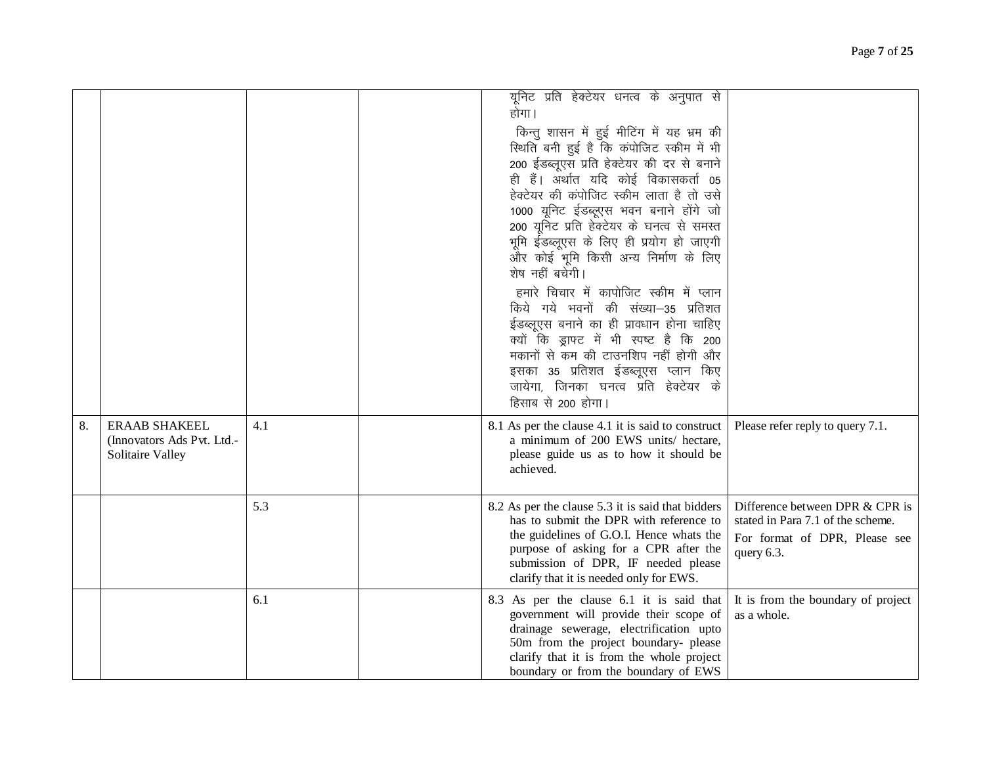|    |                                                                               |     | यूनिट प्रति हेक्टेयर धनत्व के अनुपात से<br>होगा ।<br>किन्तु शासन में हुई मीटिंग में यह भ्रम की<br>स्थिति बनी हुई है कि कंपोजिट स्कीम में भी<br>200 ईडब्लूएस प्रति हेक्टेयर की दर से बनाने<br>ही हैं। अर्थात यदि कोई विकासकर्ता 05<br>हेक्टेयर की कंपोजिट स्कीम लाता है तो उसे<br>1000 यूनिट ईडब्लूएस भवन बनाने होंगे जो<br>200 यूनिट प्रति हेक्टेयर के घनत्व से समस्त<br>भूमि ईंडब्लूएस के लिए ही प्रयोग हो जाएगी<br>और कोई भूमि किसी अन्य निर्माण के लिए<br>शेष नहीं बचेगी।<br>हमारे चिचार में कापोजिट स्कीम में प्लान<br>किये गये भवनों की संख्या-35 प्रतिशत<br>ईडब्लूएस बनाने का ही प्रावधान होना चाहिए<br>क्यों कि ड्राफ्ट में भी स्पष्ट है कि 200<br>मकानों से कम की टाउनशिप नहीं होगी और<br>इसका 35 प्रतिशत ईडब्लूएस प्लान किए<br>जायेगा, जिनका घनत्व प्रति हेक्टेयर के<br>हिसाब से 200 होगा। |                                                                                                                     |
|----|-------------------------------------------------------------------------------|-----|-----------------------------------------------------------------------------------------------------------------------------------------------------------------------------------------------------------------------------------------------------------------------------------------------------------------------------------------------------------------------------------------------------------------------------------------------------------------------------------------------------------------------------------------------------------------------------------------------------------------------------------------------------------------------------------------------------------------------------------------------------------------------------------------------------|---------------------------------------------------------------------------------------------------------------------|
| 8. | <b>ERAAB SHAKEEL</b><br>(Innovators Ads Pvt. Ltd.-<br><b>Solitaire Valley</b> | 4.1 | 8.1 As per the clause 4.1 it is said to construct<br>a minimum of 200 EWS units/ hectare,<br>please guide us as to how it should be<br>achieved.                                                                                                                                                                                                                                                                                                                                                                                                                                                                                                                                                                                                                                                    | Please refer reply to query 7.1.                                                                                    |
|    |                                                                               | 5.3 | 8.2 As per the clause 5.3 it is said that bidders<br>has to submit the DPR with reference to<br>the guidelines of G.O.I. Hence whats the<br>purpose of asking for a CPR after the<br>submission of DPR, IF needed please<br>clarify that it is needed only for EWS.                                                                                                                                                                                                                                                                                                                                                                                                                                                                                                                                 | Difference between DPR & CPR is<br>stated in Para 7.1 of the scheme.<br>For format of DPR, Please see<br>query 6.3. |
|    |                                                                               | 6.1 | 8.3 As per the clause 6.1 it is said that<br>government will provide their scope of<br>drainage sewerage, electrification upto<br>50m from the project boundary- please<br>clarify that it is from the whole project<br>boundary or from the boundary of EWS                                                                                                                                                                                                                                                                                                                                                                                                                                                                                                                                        | It is from the boundary of project<br>as a whole.                                                                   |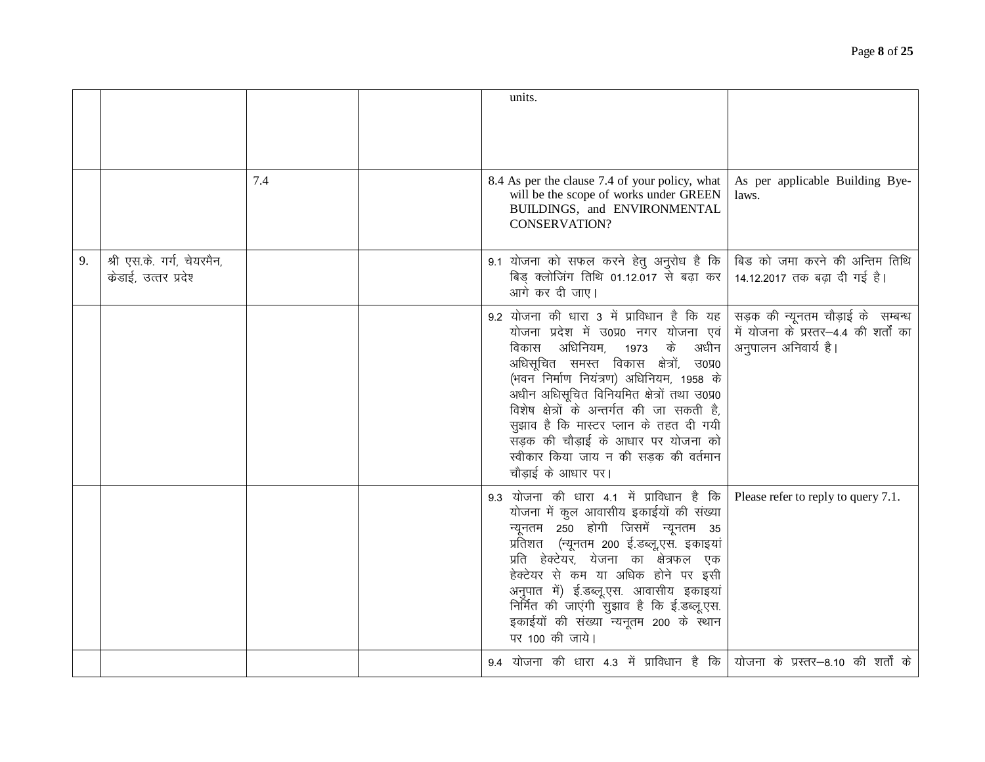|    |                                                   |     | units.                                                                                                                                                                                                                                                                                                                                                                                                                                                                                                                                                              |
|----|---------------------------------------------------|-----|---------------------------------------------------------------------------------------------------------------------------------------------------------------------------------------------------------------------------------------------------------------------------------------------------------------------------------------------------------------------------------------------------------------------------------------------------------------------------------------------------------------------------------------------------------------------|
|    |                                                   | 7.4 | 8.4 As per the clause 7.4 of your policy, what<br>As per applicable Building Bye-<br>will be the scope of works under GREEN<br>laws.<br>BUILDINGS, and ENVIRONMENTAL<br><b>CONSERVATION?</b>                                                                                                                                                                                                                                                                                                                                                                        |
| 9. | श्री एस.के. गर्ग, चेयरमैन,<br>केडाई, उत्तर प्रदेश |     | बिड को जमा करने की अन्तिम तिथि<br>9.1 योजना को सफल करने हेतु अनुरोध है कि<br>बिड़ क्लोजिंग तिथि 01.12.017 से बढ़ा कर<br>14.12.2017 तक बढ़ा दी गई है।<br>आगे कर दी जाए।                                                                                                                                                                                                                                                                                                                                                                                              |
|    |                                                   |     | 9.2 योजना की धारा 3 में प्राविधान है कि यह<br>सड़क की न्यूनतम चौड़ाई के सम्बन्ध<br>में योजना के प्रस्तर–4.4 की शर्तों का<br>योजना प्रदेश में उ0प्र0 नगर योजना एवं<br>के<br>अधिनियम,<br>अधीन<br>अनुपालन अनिवार्य है।<br>विकास<br>1973<br>अधिसूचित समस्त विकास क्षेत्रों, उ0प्र0<br>(भवन निर्माण नियंत्रण) अधिनियम, 1958 के<br>अधीन अधिसूचित विनियमित क्षेत्रों तथा उ0प्र0<br>विशेष क्षेत्रों के अन्तर्गत की जा सकती है,<br>सूझाव है कि मास्टर प्लान के तहत दी गयी<br>सड़क की चौडाई के आधार पर योजना को<br>स्वीकार किया जाय न की सड़क की वर्तमान<br>चौडाई के आधार पर। |
|    |                                                   |     | 9.3 योजना की धारा 4.1 में प्राविधान है कि<br>Please refer to reply to query 7.1.<br>योजना में कुल आवासीय इकाईयों की संख्या<br>न्यूनतम 250 होगी जिसमें न्यूनतम 35<br>प्रतिशत (न्यूनतम 200 ई.डब्लू,एस. इकाइयां<br>प्रति हेक्टेयर, येजना का क्षेत्रफल एक<br>हेक्टेयर से कम या अधिक होने पर इसी<br>अनुपात में) ई.डब्लू.एस. आवासीय इकाइयां<br>निर्मित की जाएंगी सुझाव है कि ई.डब्लू.एस.<br>इकाईयों की संख्या न्यनूतम 200 के स्थान<br>पर 100 की जाये।                                                                                                                     |
|    |                                                   |     | 9.4 योजना की धारा 4.3 में प्राविधान है कि   योजना के प्रस्तर–8.10 की शर्तों के                                                                                                                                                                                                                                                                                                                                                                                                                                                                                      |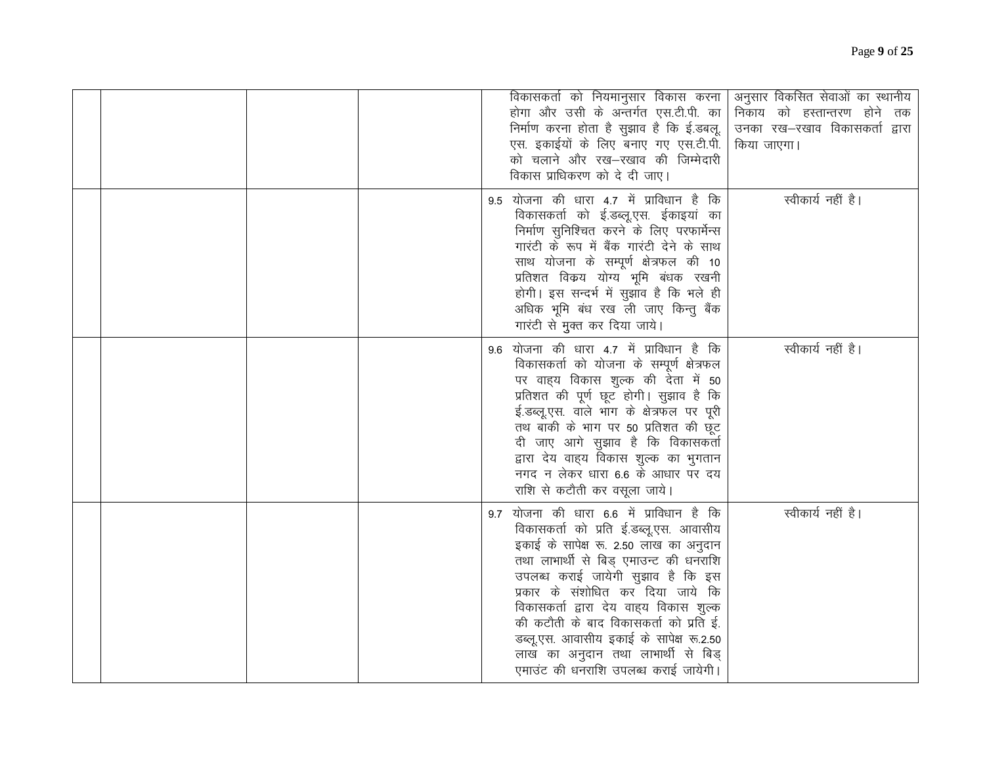|  |  | विकासकर्ता को नियमानुसार विकास करना  <br>होगा और उसी के अन्तर्गत एस.टी.पी. का<br>निर्माण करना होता है सुझाव है कि ई.डबलू.<br>एस. इकाईयों के लिए बनाए गए एस.टी.पी.<br>को चलाने और रख-रखाव की जिम्मेदारी<br>विकास प्राधिकरण को दे दी जाए।                                                                                                                                                                                                                         | अनुसार विकसित सेवाओं का स्थानीय<br>निकाय को हस्तान्तरण होने तक<br>उनका रख—रखाव विकासकर्ता द्वारा<br>किया जाएगा। |
|--|--|-----------------------------------------------------------------------------------------------------------------------------------------------------------------------------------------------------------------------------------------------------------------------------------------------------------------------------------------------------------------------------------------------------------------------------------------------------------------|-----------------------------------------------------------------------------------------------------------------|
|  |  | 9.5 योजना की धारा 4.7 में प्राविधान है कि<br>विकासकर्ता को ई.डब्लू.एस. ईकाइयां का<br>निर्माण सुनिश्चित करने के लिए परफार्मेन्स<br>गारंटी के रूप में बैंक गारंटी देने के साथ<br>साथ योजना के सम्पूर्ण क्षेत्रफल की 10<br>प्रतिशत विकय योग्य भूमि बंधक रखनी<br>होगी। इस सन्दर्भ में सुझाव है कि भले ही<br>अधिक भूमि बंध रख ली जाए किन्तु बैंक<br>गारंटी से मुक्त कर दिया जाये।                                                                                    | स्वीकार्य नहीं है।                                                                                              |
|  |  | 9.6 योजना की धारा 4.7 में प्राविधान है कि<br>विकासकर्ता को योजना के सम्पूर्ण क्षेत्रफल<br>पर वाह्य विकास शुल्क की देता में 50<br>प्रतिशत की पूर्ण छूट होगी। सुझाव है कि<br>ई.डब्लू.एस. वाले भाग के क्षेत्रफल पर पूरी<br>तथ बाकी के भाग पर 50 प्रतिशत की छूट<br>दी जाए आगे सुझाव है कि विकासकर्ता<br>द्वारा देय वाह्य विकास शुल्क का भुगतान<br>नगद न लेकर धारा 6.6 के आधार पर दय<br>राशि से कटौती कर वसूला जाये।                                                 | स्वीकार्य नहीं है।                                                                                              |
|  |  | 9.7 योजना की धारा 6.6 में प्राविधान है कि<br>विकासकर्ता को प्रति ई.डब्लू.एस. आवासीय<br>इकाई के सापेक्ष रू. 2.50 लाख का अनुदान<br>तथा लाभार्थी से बिड़ एमाउन्ट की धनराशि<br>उपलब्ध कराई जायेगी सुझाव है कि इस<br>प्रकार के संशोधित कर दिया जाये कि<br>विकासकर्ता द्वारा देय वाहय विकास शुल्क<br>की कटौती के बाद विकासकर्ता को प्रति ई.<br>डब्लू.एस. आवासीय इकाई के सापेक्ष रू.2.50<br>लाख का अनुदान तथा लाभार्थी से बिड्<br>एमाउंट की धनराशि उपलब्ध कराई जायेगी। | स्वीकार्य नहीं है।                                                                                              |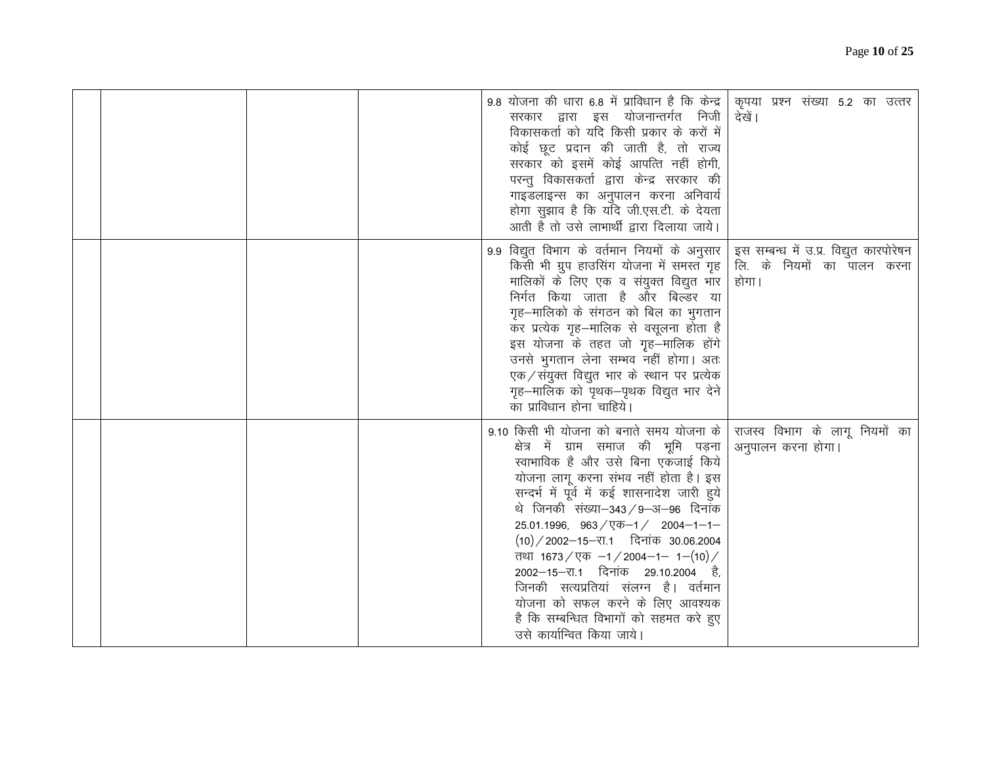|  | 9.8 योजना की धारा 6.8 में प्राविधान है कि केन्द्र<br>कृपया प्रश्न संख्या 5.2 का उत्तर<br>सरकार द्वारा इस योजनान्तर्गत निजी<br>देखें।<br>विकासकर्ता को यदि किसी प्रकार के करों में<br>कोई छूट प्रदान की जाती है, तो राज्य<br>सरकार को इसमें कोई आपत्ति नहीं होगी,<br>परन्तु विकासकर्ता द्वारा केन्द्र सरकार की<br>गाइडलाइन्स का अनुपालन करना अनिवार्य<br>होगा सुझाव है कि यदि जी.एस.टी. के देयता<br>आती है तो उसे लाभार्थी द्वारा दिलाया जाये।                                                                                                                                                                                                        |
|--|------------------------------------------------------------------------------------------------------------------------------------------------------------------------------------------------------------------------------------------------------------------------------------------------------------------------------------------------------------------------------------------------------------------------------------------------------------------------------------------------------------------------------------------------------------------------------------------------------------------------------------------------------|
|  | 9.9 विद्युत विभाग के वर्तमान नियमों के अनुसार<br>इस सम्बन्ध में उ.प्र. विद्युत कारपोरेषन<br>लि. के नियमों का पालन करना<br>किसी भी ग्रुप हाउसिंग योजना में समस्त गृह<br>मालिकों के लिए एक व संयुक्त विद्युत भार<br>होगा।<br>निर्गत किया जाता है और बिल्डर या<br>गृह–मालिको के संगठन को बिल का भुगतान<br>कर प्रत्येक गृह-मालिक से वसूलना होता है<br>इस योजना के तहत जो गृह–मालिक होंगे<br>उनसे भुगतान लेना सम्भव नहीं होगा। अतः<br>एक / संयुक्त विद्युत भार के स्थान पर प्रत्येक<br>गृह–मालिक को पृथक–पृथक विद्युत भार देने<br>का प्राविधान होना चाहिये।                                                                                               |
|  | 9.10 किसी भी योजना को बनाते समय योजना के<br>राजस्व विभाग के लागू नियमों का<br>क्षेत्र में ग्राम समाज की भूमि पड़ना<br>अनुपालन करना होगा।<br>स्वाभाविक है और उसे बिना एकजाई किये<br>योजना लागू करना संभव नहीं होता है। इस<br>सन्दर्भ में पूर्व में कई शासनादेश जारी हुये<br>थे जिनकी संख्या–343 / 9–अ–96 दिनांक<br>$25.01.1996$ , $963 / \sqrt{36} - 1 / 2004 - 1 - 1 -$<br>$(10)/2002 - 15 - 11$ दिनांक 30.06.2004<br>तथा 1673 / एक -1 / 2004-1- 1-(10) /<br>2002–15–रा.1 दिनांक 29.10.2004 है,<br>जिनकी सत्यप्रतियां संलग्न है। वर्तमान<br>योजना को सफल करने के लिए आवश्यक<br>है कि सम्बन्धित विभागों को सहमत करे हुए<br>उसे कार्यान्वित किया जाये। |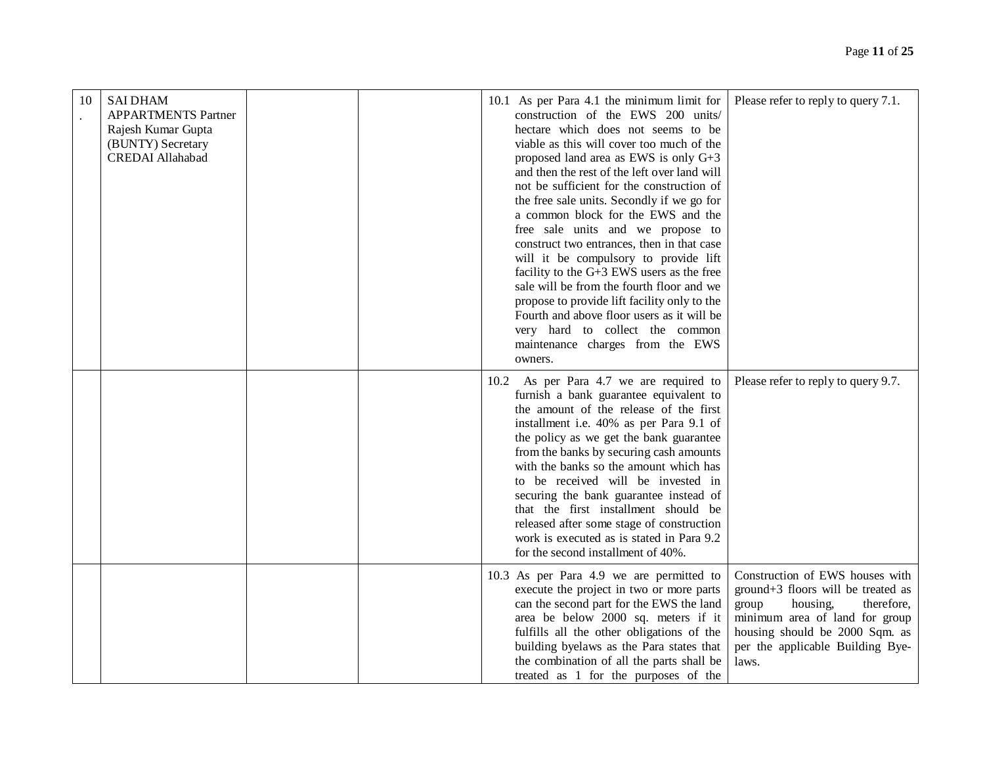| 10 | <b>SAI DHAM</b><br><b>APPARTMENTS Partner</b><br>Rajesh Kumar Gupta<br>(BUNTY) Secretary<br><b>CREDAI</b> Allahabad | 10.1 As per Para 4.1 the minimum limit for<br>construction of the EWS 200 units/<br>hectare which does not seems to be<br>viable as this will cover too much of the<br>proposed land area as EWS is only G+3<br>and then the rest of the left over land will<br>not be sufficient for the construction of<br>the free sale units. Secondly if we go for<br>a common block for the EWS and the<br>free sale units and we propose to<br>construct two entrances, then in that case<br>will it be compulsory to provide lift<br>facility to the G+3 EWS users as the free<br>sale will be from the fourth floor and we<br>propose to provide lift facility only to the<br>Fourth and above floor users as it will be<br>very hard to collect the common<br>maintenance charges from the EWS<br>owners. | Please refer to reply to query 7.1.                                                                                                                                                                                       |
|----|---------------------------------------------------------------------------------------------------------------------|-----------------------------------------------------------------------------------------------------------------------------------------------------------------------------------------------------------------------------------------------------------------------------------------------------------------------------------------------------------------------------------------------------------------------------------------------------------------------------------------------------------------------------------------------------------------------------------------------------------------------------------------------------------------------------------------------------------------------------------------------------------------------------------------------------|---------------------------------------------------------------------------------------------------------------------------------------------------------------------------------------------------------------------------|
|    |                                                                                                                     | 10.2 As per Para 4.7 we are required to<br>furnish a bank guarantee equivalent to<br>the amount of the release of the first<br>installment i.e. 40% as per Para 9.1 of<br>the policy as we get the bank guarantee<br>from the banks by securing cash amounts<br>with the banks so the amount which has<br>to be received will be invested in<br>securing the bank guarantee instead of<br>that the first installment should be<br>released after some stage of construction<br>work is executed as is stated in Para 9.2<br>for the second installment of 40%.                                                                                                                                                                                                                                      | Please refer to reply to query 9.7.                                                                                                                                                                                       |
|    |                                                                                                                     | 10.3 As per Para 4.9 we are permitted to<br>execute the project in two or more parts<br>can the second part for the EWS the land<br>area be below 2000 sq. meters if it<br>fulfills all the other obligations of the<br>building byelaws as the Para states that<br>the combination of all the parts shall be<br>treated as 1 for the purposes of the                                                                                                                                                                                                                                                                                                                                                                                                                                               | Construction of EWS houses with<br>ground+3 floors will be treated as<br>group<br>housing,<br>therefore,<br>minimum area of land for group<br>housing should be 2000 Sqm. as<br>per the applicable Building Bye-<br>laws. |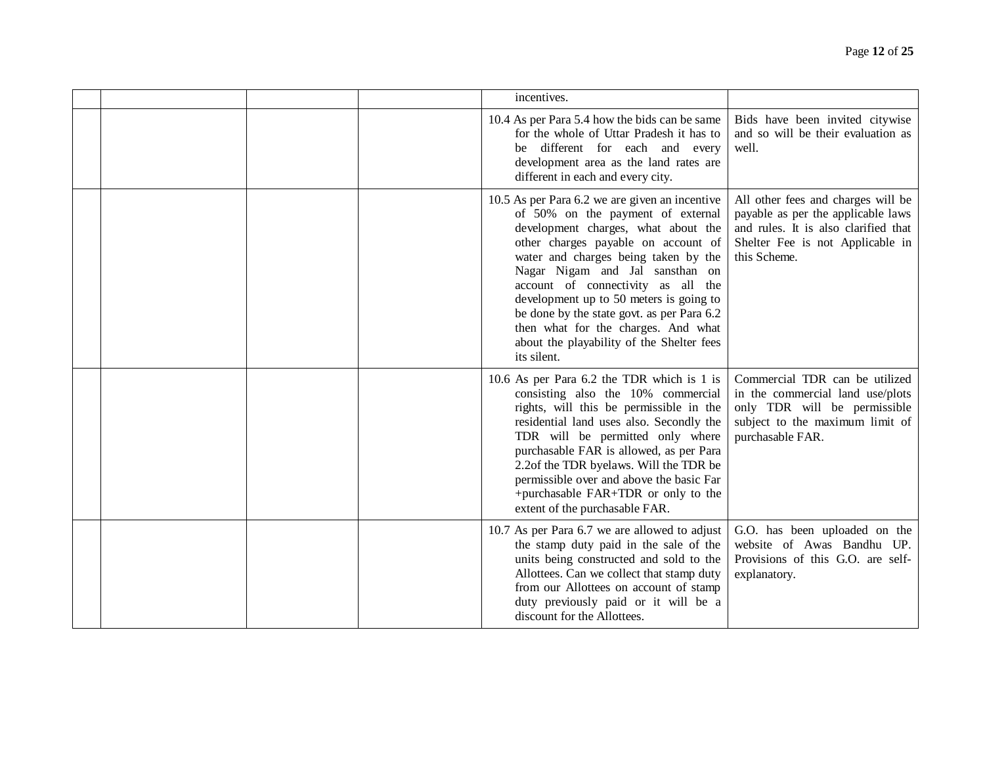|  | incentives.                                                                                                                                                                                                                                                                                                                                                                                                                                                                    |                                                                                                                                                                      |
|--|--------------------------------------------------------------------------------------------------------------------------------------------------------------------------------------------------------------------------------------------------------------------------------------------------------------------------------------------------------------------------------------------------------------------------------------------------------------------------------|----------------------------------------------------------------------------------------------------------------------------------------------------------------------|
|  | 10.4 As per Para 5.4 how the bids can be same<br>for the whole of Uttar Pradesh it has to<br>be different for each and every<br>development area as the land rates are<br>different in each and every city.                                                                                                                                                                                                                                                                    | Bids have been invited citywise<br>and so will be their evaluation as<br>well.                                                                                       |
|  | 10.5 As per Para 6.2 we are given an incentive<br>of 50% on the payment of external<br>development charges, what about the<br>other charges payable on account of<br>water and charges being taken by the<br>Nagar Nigam and Jal sansthan on<br>account of connectivity as all the<br>development up to 50 meters is going to<br>be done by the state govt. as per Para 6.2<br>then what for the charges. And what<br>about the playability of the Shelter fees<br>its silent. | All other fees and charges will be<br>payable as per the applicable laws<br>and rules. It is also clarified that<br>Shelter Fee is not Applicable in<br>this Scheme. |
|  | 10.6 As per Para 6.2 the TDR which is 1 is<br>consisting also the 10% commercial<br>rights, will this be permissible in the<br>residential land uses also. Secondly the<br>TDR will be permitted only where<br>purchasable FAR is allowed, as per Para<br>2.2of the TDR byelaws. Will the TDR be<br>permissible over and above the basic Far<br>+purchasable FAR+TDR or only to the<br>extent of the purchasable FAR.                                                          | Commercial TDR can be utilized<br>in the commercial land use/plots<br>only TDR will be permissible<br>subject to the maximum limit of<br>purchasable FAR.            |
|  | 10.7 As per Para 6.7 we are allowed to adjust<br>the stamp duty paid in the sale of the<br>units being constructed and sold to the<br>Allottees. Can we collect that stamp duty<br>from our Allottees on account of stamp<br>duty previously paid or it will be a<br>discount for the Allottees.                                                                                                                                                                               | G.O. has been uploaded on the<br>website of Awas Bandhu UP.<br>Provisions of this G.O. are self-<br>explanatory.                                                     |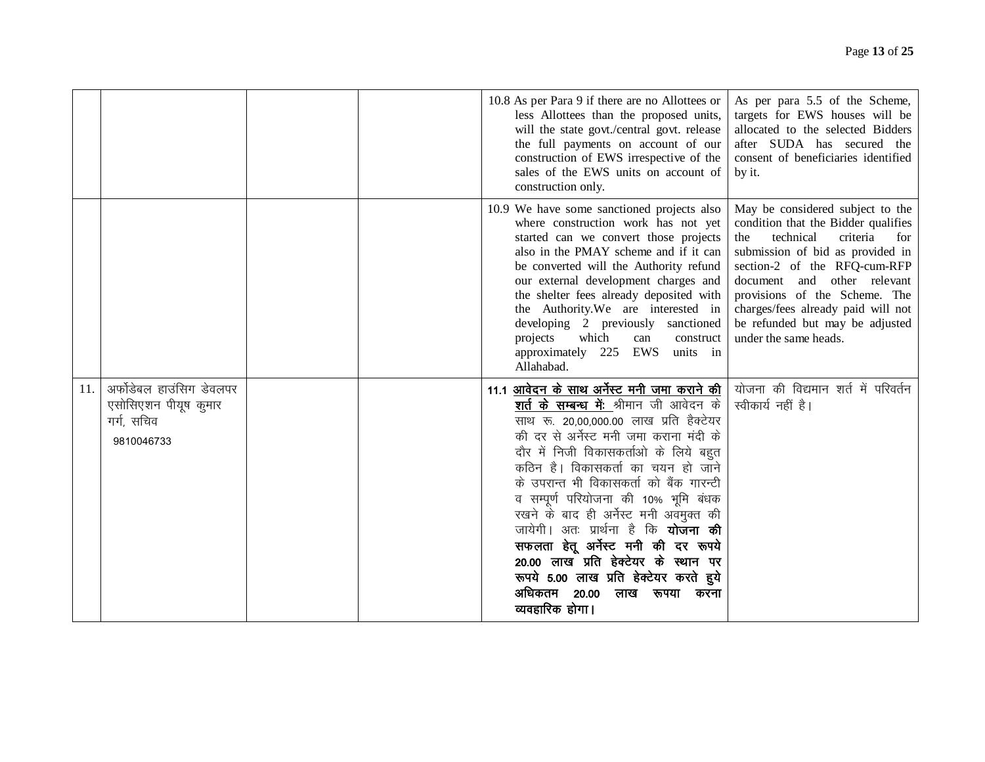|     |                                                                              | 10.8 As per Para 9 if there are no Allottees or<br>less Allottees than the proposed units,<br>will the state govt./central govt. release<br>the full payments on account of our<br>construction of EWS irrespective of the<br>sales of the EWS units on account of<br>construction only.                                                                                                                                                                                                                                                                                                                                          | As per para 5.5 of the Scheme,<br>targets for EWS houses will be<br>allocated to the selected Bidders<br>after SUDA has secured the<br>consent of beneficiaries identified<br>by it.                                                                                                                                                                 |
|-----|------------------------------------------------------------------------------|-----------------------------------------------------------------------------------------------------------------------------------------------------------------------------------------------------------------------------------------------------------------------------------------------------------------------------------------------------------------------------------------------------------------------------------------------------------------------------------------------------------------------------------------------------------------------------------------------------------------------------------|------------------------------------------------------------------------------------------------------------------------------------------------------------------------------------------------------------------------------------------------------------------------------------------------------------------------------------------------------|
|     |                                                                              | 10.9 We have some sanctioned projects also<br>where construction work has not yet<br>started can we convert those projects<br>also in the PMAY scheme and if it can<br>be converted will the Authority refund<br>our external development charges and<br>the shelter fees already deposited with<br>the Authority. We are interested in<br>developing 2 previously sanctioned<br>projects<br>which<br>can<br>construct<br>EWS units in<br>approximately 225<br>Allahabad.                                                                                                                                                         | May be considered subject to the<br>condition that the Bidder qualifies<br>technical<br>criteria<br>the<br>for<br>submission of bid as provided in<br>section-2 of the RFQ-cum-RFP<br>document and other relevant<br>provisions of the Scheme. The<br>charges/fees already paid will not<br>be refunded but may be adjusted<br>under the same heads. |
| 11. | अर्फोडेबल हाउंसिग डेवलपर<br>एसोसिएशन पीयूष कुमार<br>गर्ग, सचिव<br>9810046733 | 11.1 आवेदन के साथ अर्नेस्ट मनी जमा कराने की  <br>शर्त के सम्बन्ध में: श्रीमान जी आवेदन के<br>साथ रू. 20.00.000.00 लाख प्रति हैक्टेयर<br>की दर से अर्नेस्ट मनी जमा कराना मंदी के<br>दौर में निजी विकासकर्ताओं के लिये बहुत<br>कठिन है। विकासकर्ता का चयन हो जाने<br>के उपरान्त भी विकासकर्ता को बैंक गारन्टी<br>व सम्पूर्ण परियोजना की 10% भूमि बंधक<br>रखने के बाद ही अर्नेस्ट मनी अवमुक्त की<br>जायेगी। अतः प्रार्थना है कि <b>योजना की</b><br>सफलता हेतू अर्नेस्ट मनी की दर रूपये<br>20.00 लाख प्रति हेक्टेयर के स्थान पर<br>रूपये 5.00 लाख प्रति हेक्टेयर करते हुये<br>अधिकतम<br>20.00<br>लाख<br>रूपया करना<br>व्यवहारिक होगा। | योजना की विद्यमान शर्त में परिवर्तन<br>स्वीकार्य नहीं है।                                                                                                                                                                                                                                                                                            |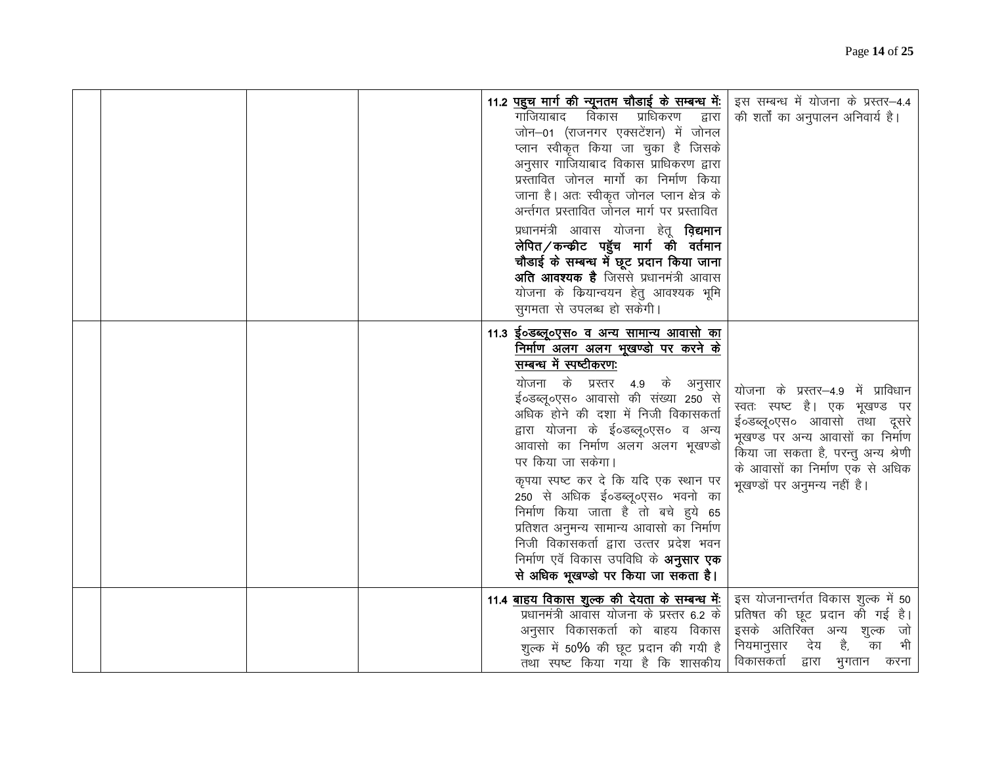|  |  | <u>11.2 पहुच मार्ग की न्यूनतम चौडाई के सम्बन्ध में:</u><br>गाजियाबाद<br>विकास प्राधिकरण<br>द्वारा<br>जोन-01 (राजनगर एक्सटेंशन) में जोनल<br>प्लान स्वीकृत किया जा चुका है जिसके<br>अनुसार गाजियाबाद विकास प्राधिकरण द्वारा<br>प्रस्तावित जोनल मार्गो का निर्माण किया<br>जाना है। अतः स्वीकृत जोनल प्लान क्षेत्र के<br>अर्न्तगत प्रस्तावित जोनल मार्ग पर प्रस्तावित<br>प्रधानमंत्री आवास योजना हेतू <b>विद्यमान</b><br>लेपित/कन्क्रीट पहुॅच मार्ग की वर्तमान<br>चौडाई के सम्बन्ध में छूट प्रदान किया जाना<br><b>अति आवश्यक है</b> जिससे प्रधानमंत्री आवास<br>योजना के कियान्वयन हेतु आवश्यक भूमि<br>सुगमता से उपलब्ध हो सकेगी।             | इस सम्बन्ध में योजना के प्रस्तर-4.4<br>की शर्तों का अनुपालन अनिवार्य है।                                                                                                                                                                         |
|--|--|------------------------------------------------------------------------------------------------------------------------------------------------------------------------------------------------------------------------------------------------------------------------------------------------------------------------------------------------------------------------------------------------------------------------------------------------------------------------------------------------------------------------------------------------------------------------------------------------------------------------------------------|--------------------------------------------------------------------------------------------------------------------------------------------------------------------------------------------------------------------------------------------------|
|  |  | <u> 11.3 ई०डब्लू०एस० व अन्य सामान्य आवासो का</u><br><u>निर्माण अलग अलग भूखण्डो पर करने के</u><br>सम्बन्ध में स्पष्टीकरण:<br>योजना के प्रस्तर 4.9 के अनुसार<br>ई०डब्लू०एस० आवासो की संख्या 250 से<br>अधिक होने की दशा में निजी विकासकर्ता<br>द्वारा योजना के ई०डब्लू०एस० व अन्य<br>आवासो का निर्माण अलग अलग भूखण्डो<br>पर किया जा सकेगा।<br>कृपया स्पष्ट कर दे कि यदि एक स्थान पर<br>250 से अधिक ई०डब्लू०एस० भवनो का<br>निर्माण किया जाता है तो बचे हुये 65<br>प्रतिशत अनुमन्य सामान्य आवासो का निर्माण<br>निजी विकासकर्ता द्वारा उत्तर प्रदेश भवन<br>निर्माण एवँ विकास उपविधि के <b>अनुसार एक</b><br>से अधिक भूखण्डो पर किया जा सकता है। | योजना के प्रस्तर—4.9 में प्राविधान<br>स्वतः स्पष्ट है। एक भूखण्ड पर<br>ई०डब्लू०एस० आवासो तथा दूसरे<br>भूखण्ड पर अन्य आवासों का निर्माण<br>किया जा सकता है, परन्तु अन्य श्रेणी<br>के आवासों का निर्माण एक से अधिक<br>भूखण्डों पर अनुमन्य नहीं है। |
|  |  | <u>11.4 बाहय विकास शुल्क की देयता के सम्बन्ध में:</u><br>प्रधानमंत्री आवास योजना के प्रस्तर 6.2 के<br>अनुसार विकासकर्ता को बाहय विकास<br>शुल्क में 50% की छूट प्रदान की गयी है<br>तथा स्पष्ट किया गया है कि शासकीय                                                                                                                                                                                                                                                                                                                                                                                                                       | इस योजनान्तर्गत विकास शुल्क में 50<br>प्रतिषत की छूट प्रदान की गई है।<br>इसके अतिरिक्त अन्य शुल्क जो<br>है,<br>भी<br>नियमानुसार<br>का<br>देय<br>विकासकर्ता द्वारा भुगतान करना                                                                    |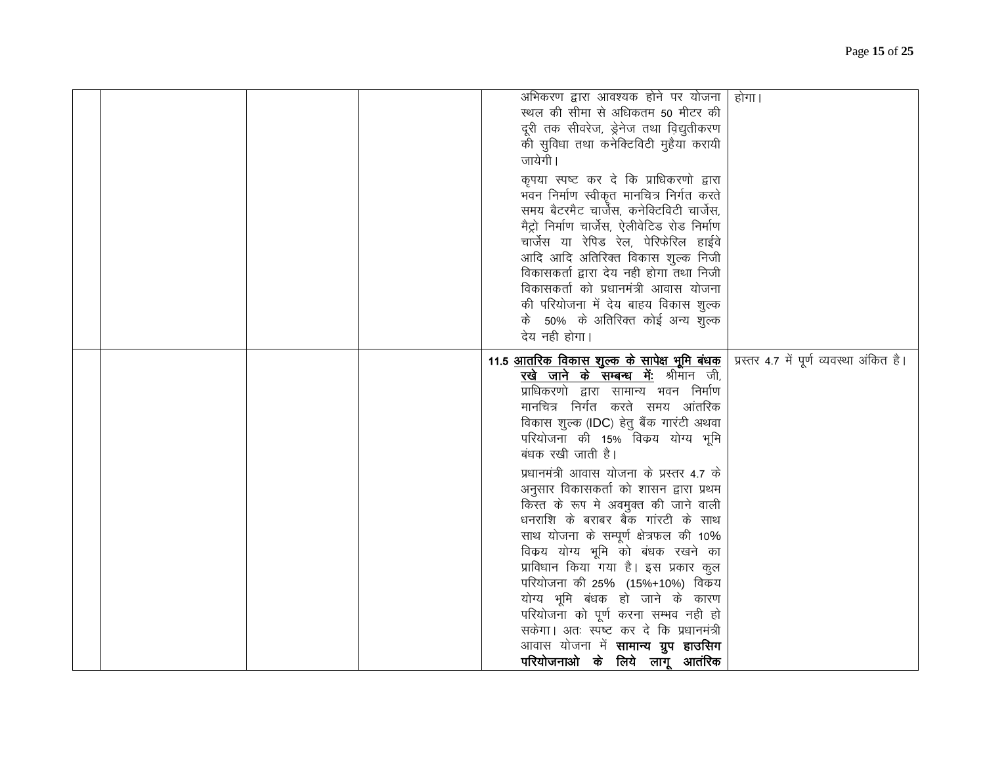|  | अभिकरण द्वारा आवश्यक होने पर योजना  <br>स्थल की सीमा से अधिकतम 50 मीटर की<br>दूरी तक सीवरेज, ड्रेनेज तथा विद्युतीकरण<br>की सुविधा तथा कनेक्टिविटी मुहैया करायी<br>जायेगी।<br>कृपया स्पष्ट कर दे कि प्राधिकरणो द्वारा<br>भवन निर्माण स्वीकृत मानचित्र निर्गत करते<br>समय बैटरमैट चार्जेस, कनेक्टिविटी चार्जेस,<br>मैट्रो निर्माण चार्जेस, ऐलीवेटिड रोड निर्माण<br>चार्जेस या रेपिड रेल, पेरिफेरिल हाईवे<br>आदि आदि अतिरिक्त विकास शुल्क निजी<br>विकासकर्ता द्वारा देय नही होगा तथा निजी<br>विकासकर्ता को प्रधानमंत्री आवास योजना<br>की परियोजना में देय बाहय विकास शुल्क<br>के 50% के अतिरिक्त कोई अन्य शुल्क                                                                                                                                                                                                              | होगा।                                    |
|--|---------------------------------------------------------------------------------------------------------------------------------------------------------------------------------------------------------------------------------------------------------------------------------------------------------------------------------------------------------------------------------------------------------------------------------------------------------------------------------------------------------------------------------------------------------------------------------------------------------------------------------------------------------------------------------------------------------------------------------------------------------------------------------------------------------------------------|------------------------------------------|
|  | देय नही होगा।<br><u>11.5 आतरिक विकास शुल्क के सापेक्ष भूमि बंधक</u><br>रखे जाने के सम्बन्ध में: श्रीमान जी,<br>प्राधिकरणो द्वारा सामान्य भवन निर्माण<br>मानचित्र निर्गत करते समय आंतरिक<br>विकास शुल्क (IDC) हेतु बैंक गारंटी अथवा<br>परियोजना की 15% विकय योग्य भूमि<br>बंधक रखी जाती है।<br>प्रधानमंत्री आवास योजना के प्रस्तर 4.7 के<br>अनुसार विकासकर्ता को शासन द्वारा प्रथम<br>किस्त के रूप मे अवमुक्त की जाने वाली<br>धनराशि के बराबर बैक गांरटी के साथ<br>साथ योजना के सम्पूर्ण क्षेत्रफल की 10%<br>विकय योग्य भूमि को बंधक रखने का<br>प्राविधान किया गया है। इस प्रकार कुल<br>परियोजना की 25% (15%+10%) विकय<br>योग्य भूमि बंधक हो जाने के कारण<br>परियोजना को पूर्ण करना सम्भव नही हो<br>सकेगा। अतः स्पष्ट कर दे कि प्रधानमंत्री<br>आवास योजना में <b>सामान्य ग्रुप हाउसिग</b><br>परियोजनाओ के लिये लागू आतंरिक | प्रस्तर 4.7 में पूर्ण व्यवस्था अंकित है। |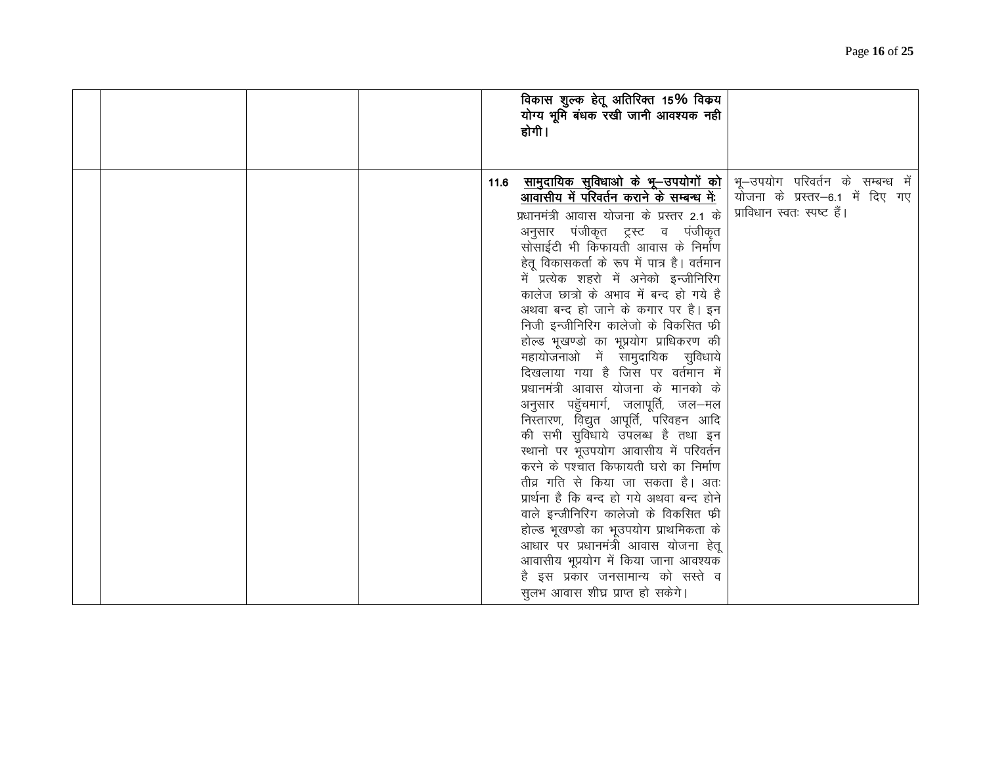| विकास शुल्क हेतू अतिरिक्त 15% विक्रय<br>योग्य भूमि बंधक रखी जानी आवश्यक नही<br>होगी।                                                                                                                                                                                                                                                                                                                                                                                                                                                                                                                                                                                                                                                                                                                                                                                                                                                                                                                                                                                                                                                                                                                                                              |
|---------------------------------------------------------------------------------------------------------------------------------------------------------------------------------------------------------------------------------------------------------------------------------------------------------------------------------------------------------------------------------------------------------------------------------------------------------------------------------------------------------------------------------------------------------------------------------------------------------------------------------------------------------------------------------------------------------------------------------------------------------------------------------------------------------------------------------------------------------------------------------------------------------------------------------------------------------------------------------------------------------------------------------------------------------------------------------------------------------------------------------------------------------------------------------------------------------------------------------------------------|
| <u>सामुदायिक सुविधाओ के भू—उपयोगों को</u>   भू—उपयोग  परिवर्तन  के  सम्बन्ध  में<br>11.6<br>आवासीय में परिवर्तन कराने के सम्बन्ध में:<br>योजना के प्रस्तर–6.1 में दिए गए<br>प्राविधान स्वतः स्पष्ट हैं।<br>प्रधानमंत्री आवास योजना के प्रस्तर 2.1 के<br>अनुसार पंजीकृत ट्रस्ट व पंजीकृत<br>सोसाईटी भी किफायती आवास के निर्माण<br>हेतू विकासकर्ता के रूप में पात्र है। वर्तमान<br>में प्रत्येक शहरो में अनेको इन्जीनिरिग<br>कालेज छात्रों के अभाव में बन्द हो गये है<br>अथवा बन्द हो जाने के कगार पर है। इन<br>निजी इन्जीनिरिग कालेजो के विकसित फ्री<br>होल्ड भूखण्डो का भूप्रयोग प्राधिकरण की<br>महायोजनाओ में सामुदायिक सुविधाये<br>दिखलाया गया है जिस पर वर्तमान में<br>प्रधानमंत्री आवास योजना के मानको के<br>अनुसार पहुॅचमार्ग, जलापूर्ति, जल—मल<br>निस्तारण, विद्युत आपूर्ति, परिवहन आदि<br>की सभी सुविधाये उपलब्ध है तथा इन<br>स्थानो पर भूउपयोग आवासीय में परिवर्तन<br>करने के पश्चात किफायती घरो का निर्माण<br>तीव्र गति से किया जा सकता है। अतः<br>प्रार्थना है कि बन्द हो गये अथवा बन्द होने<br>वाले इन्जीनिरिग कालेजो के विकसित फी<br>होल्ड भूखण्डो का भूउपयोग प्राथमिकता के<br>आधार पर प्रधानमंत्री आवास योजना हेतू<br>आवासीय भूप्रयोग में किया जाना आवश्यक<br>है इस प्रकार जनसामान्य को सस्ते व<br>सुलभ आवास शीघ्र प्राप्त हो सकेगे। |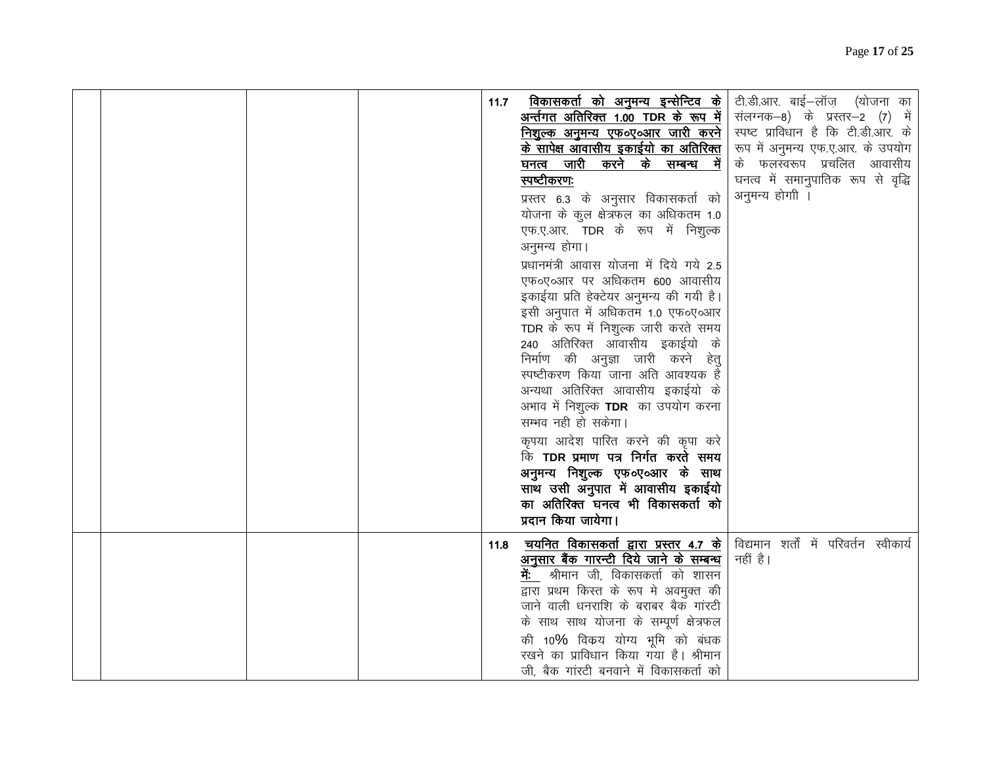|  |  | 11.7 | <u>विकासकर्ता को अनुमन्य इन्सेन्टिव के </u><br><u>अर्न्तगत अतिरिक्त 1.00 TDR के रूप में  </u><br><u>निशुल्क अनुमन्य एफ०ए०आर जारी करने</u>  <br><u>के सापेक्ष आवासीय इकाईयो का अतिरिक्त</u>  <br>घनत्व जारी करने के सम्बन्ध में<br>स्पष्टीकरणः<br>प्रस्तर 6.3 के अनुसार विकासकर्ता को<br>योजना के कुल क्षेत्रफल का अधिकतम 1.0<br>एफ.ए.आर. TDR के रूप में निशुल्क<br>अनुमन्य होगा।<br>प्रधानमंत्री आवास योजना में दिये गये 2.5<br>एफ०ए०आर पर अधिकतम 600 आवासीय<br>इकाईया प्रति हेक्टेयर अनुमन्य की गयी है।<br>इसी अनुपात में अधिकतम 1.0 एफ०ए०आर<br>TDR के रूप में निशुल्क जारी करते समय<br>240 अतिरिक्त आवासीय इकाईयो के<br>निर्माण की अनुज्ञा जारी करने हेतु<br>स्पष्टीकरण किया जाना अति आवश्यक है<br>अन्यथा अतिरिक्त आवासीय इकाईयो के<br>अभाव में निशुल्क TDR का उपयोग करना<br>सम्भव नही हो सकेगा।<br>कृपया आदेश पारित करने की कृपा करे<br>कि TDR प्रमाण पत्र निर्गत करते समय<br>अनुमन्य निशुल्क एफ०ए०आर के साथ<br>साथ उसी अनुपात में आवासीय इकाईयो<br>का अतिरिक्त घनत्व भी विकासकर्ता को<br>प्रदान किया जायेगा। | टी.डी.आर. बाई-लॉज़ (योजना का<br>संलग्नक-8) के प्रस्तर-2 (7) में<br>स्पष्ट प्राविधान है कि टी.डी.आर. के<br>रूप में अनुमन्य एफ.ए.आर. के उपयोग<br>के फलस्वरूप प्रचलित आवासीय<br>घनत्व में समानुपातिक रूप से वृद्धि<br>अनुमन्य होगी । |  |
|--|--|------|------------------------------------------------------------------------------------------------------------------------------------------------------------------------------------------------------------------------------------------------------------------------------------------------------------------------------------------------------------------------------------------------------------------------------------------------------------------------------------------------------------------------------------------------------------------------------------------------------------------------------------------------------------------------------------------------------------------------------------------------------------------------------------------------------------------------------------------------------------------------------------------------------------------------------------------------------------------------------------------------------------------|-----------------------------------------------------------------------------------------------------------------------------------------------------------------------------------------------------------------------------------|--|
|  |  | 11.8 | <b>चयनित विकासकर्ता द्वारा प्रस्तर 4.7 के</b>   विद्यमान शर्तों में परिवर्तन स्वीकार्य<br><u>अनुसार बैंक गारन्टी दिये जाने के सम्बन्ध</u><br><b>में:</b> श्रीमान जी, विकासकर्ता को शासन<br>द्वारा प्रथम किस्त के रूप मे अवमुक्त की<br>जाने वाली धनराशि के बराबर बैक गांरटी<br>के साथ साथ योजना के सम्पूर्ण क्षेत्रफल<br>की 10% विकय योग्य भूमि को बंधक<br>रखने का प्राविधान किया गया है। श्रीमान<br>जी, बैक गांरटी बनवाने में विकासकर्ता को                                                                                                                                                                                                                                                                                                                                                                                                                                                                                                                                                                      | नहीं है।                                                                                                                                                                                                                          |  |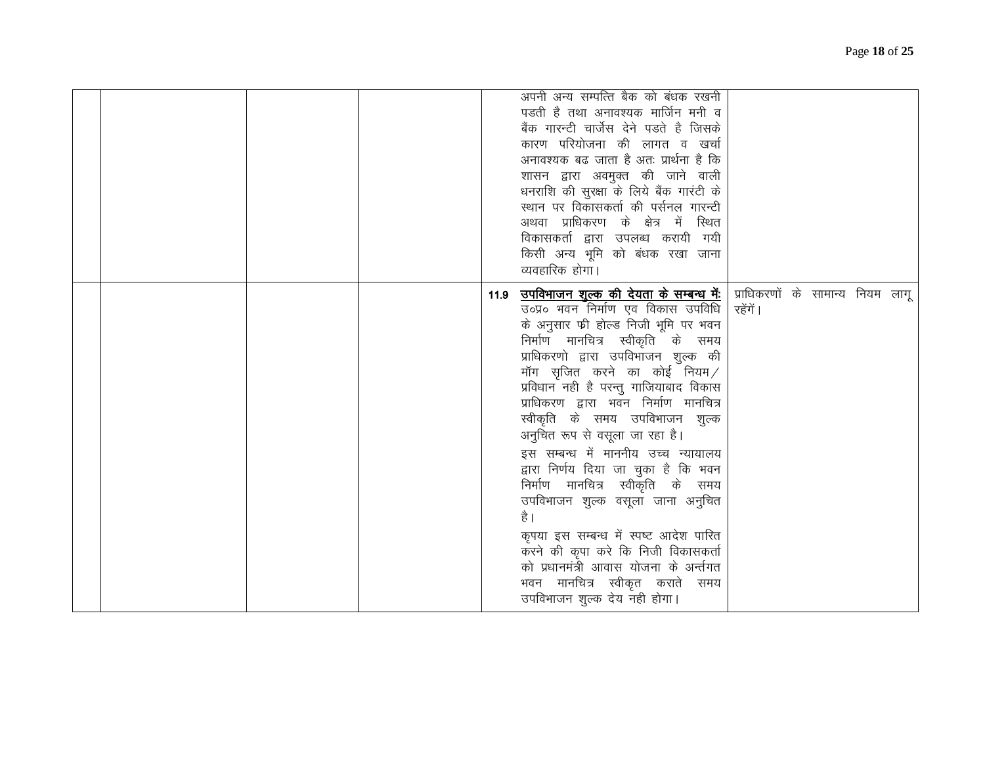|  | अपनी अन्य सम्पत्ति बैक को बंधक रखनी<br>पडती है तथा अनावश्यक मार्जिन मनी व<br>बैंक गारन्टी चार्जेस देने पडते है जिसके<br>कारण परियोजना की लागत व खर्चा<br>अनावश्यक बढ जाता है अतः प्रार्थना है कि<br>शासन द्वारा अवमुक्त की जाने वाली<br>धनराशि की सुरक्षा के लिये बैंक गारंटी के<br>स्थान पर विकासकर्ता की पर्सनल गारन्टी<br>अथवा प्राधिकरण के क्षेत्र में स्थित<br>विकासकर्ता द्वारा उपलब्ध करायी गयी<br>किसी अन्य भूमि को बंधक रखा जाना<br>व्यवहारिक होगा।                                                                                                                                                                                                                                                                                                                                                      |          |  |  |
|--|-------------------------------------------------------------------------------------------------------------------------------------------------------------------------------------------------------------------------------------------------------------------------------------------------------------------------------------------------------------------------------------------------------------------------------------------------------------------------------------------------------------------------------------------------------------------------------------------------------------------------------------------------------------------------------------------------------------------------------------------------------------------------------------------------------------------|----------|--|--|
|  | 11.9 <u>उप<b>विभाजन शुल्क की देयता के सम्बन्ध में:</b>  </u> प्राधिकरणों के सामान्य नियम लागू<br>उ०प्र० भवन निर्माण एव विकास उपविधि  <br>के अनुसार फी होल्ड निजी भूमि पर भवन<br>निर्माण मानचित्र स्वीकृति के समय<br>प्राधिकरणो द्वारा उपविभाजन शुल्क की<br>मॉग सृजित करने का कोई नियम $\angle$<br>प्रविधान नही है परन्तु गाजियाबाद विकास<br>प्राधिकरण द्वारा भवन निर्माण मानचित्र<br>स्वीकृति के समय उपविभाजन शुल्क<br>अनुचित रूप से वसूला जा रहा है।<br>इस सम्बन्ध में माननीय उच्च न्यायालय<br>द्वारा निर्णय दिया जा चुका है कि भवन<br>निर्माण मानचित्र स्वीकृति के समय<br>उपविभाजन शुल्क वसूला जाना अनुचित<br>है ।<br>कृपया इस सम्बन्ध में स्पष्ट आदेश पारित<br>करने की कृपा करे कि निजी विकासकर्ता<br>को प्रधानमंत्री आवास योजना के अर्न्तगत<br>भवन मानचित्र स्वीकृत कराते समय<br>उपविभाजन शुल्क देय नही होगा। | रहेंगें। |  |  |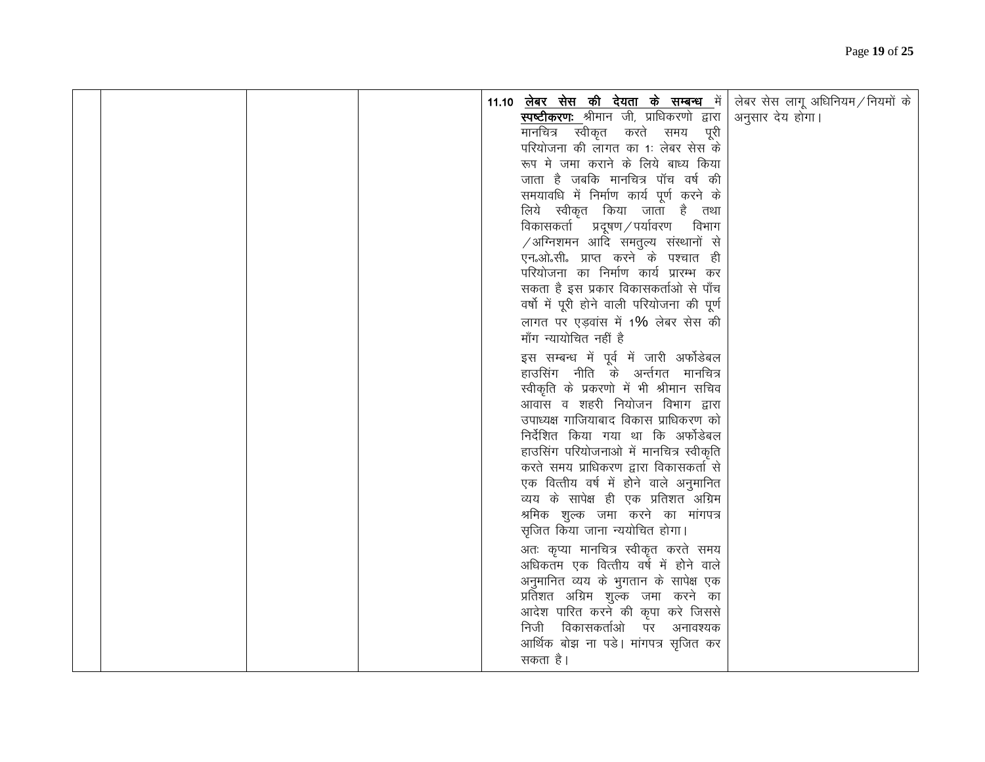|  |  | 11.10 <u>लेबर सेस की देयता के सम्बन्ध</u> में<br><mark>स्पष्टीकरण:</mark> श्रीमान जी, प्राधिकरणो द्वारा<br>मानचित्र स्वीकृत करते समय पूरी<br>परियोजना की लागत का 1: लेबर सेस के<br>रूप मे जमा कराने के लिये बाध्य किया<br>जाता है जबकि मानचित्र पॉच वर्ष की<br>समयावधि में निर्माण कार्य पूर्ण करने के<br>लिये स्वीकृत किया जाता है तथा<br>विकासकर्ता प्रदूषण/पर्यावरण विभाग<br>$\sqrt{3}$ अग्निशमन आदि समतुल्य संस्थानों से<br>एन.ओ.सी. प्राप्त करने के पश्चात ही<br>परियोजना का निर्माण कार्य प्रारम्भ कर<br>सकता है इस प्रकार विकासकर्ताओं से पाँच<br>वर्षो में पूरी होने वाली परियोजना की पूर्ण<br>लागत पर एड़वांस में 1% लेबर सेस की<br>माँग न्यायोचित नहीं है<br>इस सम्बन्ध में पूर्व में जारी अर्फोडेबल<br>हाउसिंग नीति के अर्न्तगत मानचित्र<br>स्वीकृति के प्रकरणो में भी श्रीमान सचिव<br>आवास व शहरी नियोजन विभाग द्वारा<br>उपाध्यक्ष गाजियाबाद विकास प्राधिकरण को<br>निर्देशित किया गया था कि अर्फोडेबल<br>हाउसिंग परियोजनाओं में मानचित्र स्वीकृति<br>करते समय प्राधिकरण द्वारा विकासकर्ता से<br>एक वित्तीय वर्ष में होने वाले अनुमानित<br>व्यय के सापेक्ष ही एक प्रतिशत अग्रिम<br>श्रमिक शुल्क जमा करने का मांगपत्र<br>सृजित किया जाना न्ययोचित होगा।<br>अतः कृप्या मानचित्र स्वीकृत करते समय<br>अधिकतम एक वित्तीय वर्ष में होने वाले<br>अनुमानित व्यय के भुगतान के सापेक्ष एक<br>प्रतिशत अग्रिम शुल्क जमा करने का<br>आदेश पारित करने की कृपा करे जिससे<br>निजी विकासकर्ताओ पर अनावश्यक | लेबर सेस लागू अधिनियम / नियमों के<br>अनुसार देय होगा। |
|--|--|-----------------------------------------------------------------------------------------------------------------------------------------------------------------------------------------------------------------------------------------------------------------------------------------------------------------------------------------------------------------------------------------------------------------------------------------------------------------------------------------------------------------------------------------------------------------------------------------------------------------------------------------------------------------------------------------------------------------------------------------------------------------------------------------------------------------------------------------------------------------------------------------------------------------------------------------------------------------------------------------------------------------------------------------------------------------------------------------------------------------------------------------------------------------------------------------------------------------------------------------------------------------------------------------------------------------------------------------------------------------------------------------------------|-------------------------------------------------------|
|  |  | आर्थिक बोझ ना पडे। मांगपत्र सृजित कर<br>सकता है।                                                                                                                                                                                                                                                                                                                                                                                                                                                                                                                                                                                                                                                                                                                                                                                                                                                                                                                                                                                                                                                                                                                                                                                                                                                                                                                                                    |                                                       |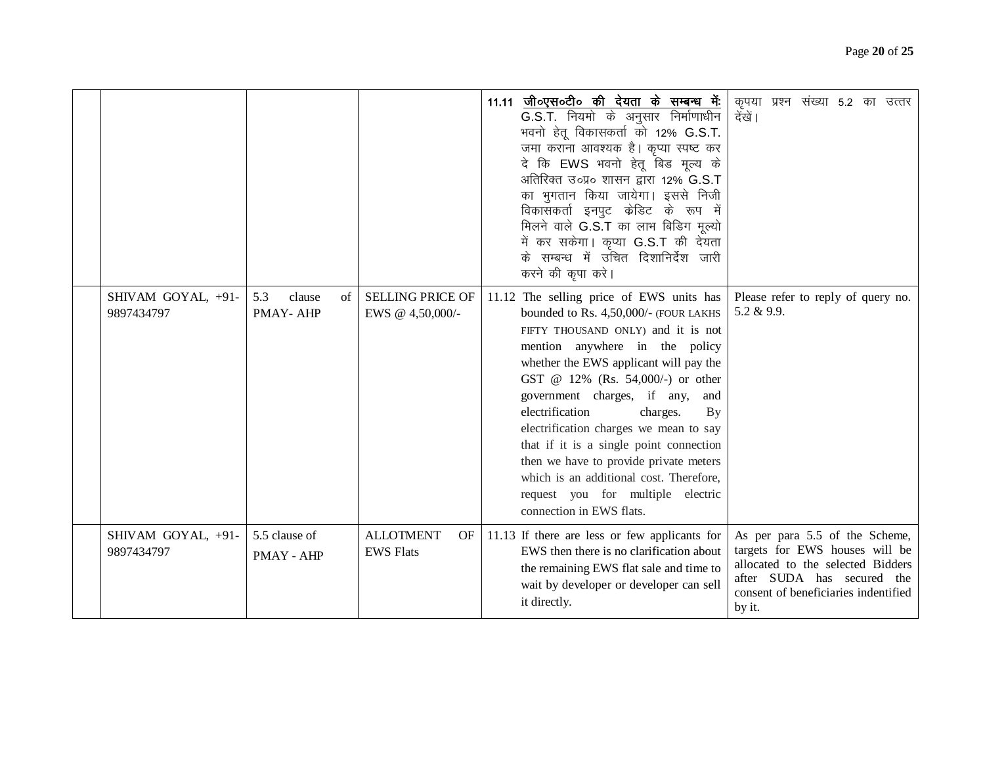|                                  |                                       |                                             | 11.11 जी०एस०टी० की देयता के सम्बन्ध में:<br>G.S.T. नियमो के अनुसार निर्माणाधीन<br>भवनो हेतू विकासकर्ता को 12% G.S.T.<br>जमा कराना आवश्यक है। कृप्या स्पष्ट कर<br>दे कि EWS भवनो हेतू बिड मूल्य के<br>अतिरिक्त उ०प्र० शासन द्वारा 12% G.S.T<br>का भूगतान किया जायेगा। इससे निजी<br>विकासकर्ता इनपुट केडिट के रूप में<br>मिलने वाले G.S.T का लाभ बिडिग मूल्यो<br>में कर सकेगा। कृप्या G.S.T की देयता<br>के सम्बन्ध में उचित दिशानिर्देश जारी<br>करने की कृपा करे।                                                                                                | कृपया प्रश्न संख्या 5.2 का उत्तर<br>देखें।                                                                                                                                            |
|----------------------------------|---------------------------------------|---------------------------------------------|----------------------------------------------------------------------------------------------------------------------------------------------------------------------------------------------------------------------------------------------------------------------------------------------------------------------------------------------------------------------------------------------------------------------------------------------------------------------------------------------------------------------------------------------------------------|---------------------------------------------------------------------------------------------------------------------------------------------------------------------------------------|
| SHIVAM GOYAL, +91-<br>9897434797 | 5.3<br>clause<br>$\sigma$<br>PMAY-AHP | <b>SELLING PRICE OF</b><br>EWS @ 4,50,000/- | 11.12 The selling price of EWS units has<br>bounded to Rs. 4,50,000/- (FOUR LAKHS<br>FIFTY THOUSAND ONLY) and it is not<br>mention anywhere in the policy<br>whether the EWS applicant will pay the<br>GST @ 12% (Rs. 54,000/-) or other<br>government charges, if any,<br>and<br>electrification<br>charges.<br>By<br>electrification charges we mean to say<br>that if it is a single point connection<br>then we have to provide private meters<br>which is an additional cost. Therefore,<br>request you for multiple electric<br>connection in EWS flats. | Please refer to reply of query no.<br>$5.2 \& 9.9.$                                                                                                                                   |
| SHIVAM GOYAL, +91-<br>9897434797 | 5.5 clause of<br>PMAY - AHP           | <b>ALLOTMENT</b><br>OF<br><b>EWS Flats</b>  | 11.13 If there are less or few applicants for<br>EWS then there is no clarification about<br>the remaining EWS flat sale and time to<br>wait by developer or developer can sell<br>it directly.                                                                                                                                                                                                                                                                                                                                                                | As per para 5.5 of the Scheme,<br>targets for EWS houses will be<br>allocated to the selected Bidders<br>after SUDA has secured the<br>consent of beneficiaries indentified<br>by it. |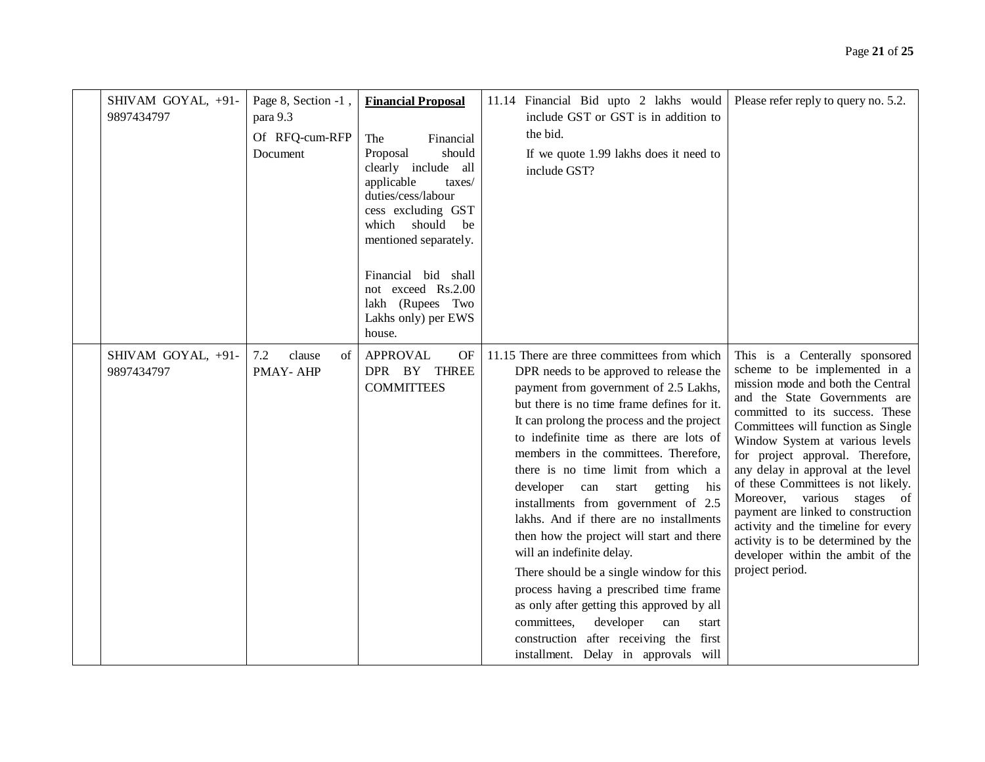| SHIVAM GOYAL, +91-<br>9897434797 | Page 8, Section -1,<br>para 9.3<br>Of RFQ-cum-RFP<br>Document | <b>Financial Proposal</b><br>The<br>Financial<br>should<br>Proposal<br>clearly include all<br>applicable<br>taxes/<br>duties/cess/labour<br>cess excluding GST<br>which should<br>be<br>mentioned separately.<br>Financial bid shall<br>not exceed Rs.2.00<br>lakh (Rupees Two<br>Lakhs only) per EWS<br>house. | 11.14 Financial Bid upto 2 lakhs would<br>include GST or GST is in addition to<br>the bid.<br>If we quote 1.99 lakhs does it need to<br>include GST?                                                                                                                                                                                                                                                                                                                                                                                                                                                                                                                                                                                                                                                                    | Please refer reply to query no. 5.2.                                                                                                                                                                                                                                                                                                                                                                                                                                                                                                                                         |
|----------------------------------|---------------------------------------------------------------|-----------------------------------------------------------------------------------------------------------------------------------------------------------------------------------------------------------------------------------------------------------------------------------------------------------------|-------------------------------------------------------------------------------------------------------------------------------------------------------------------------------------------------------------------------------------------------------------------------------------------------------------------------------------------------------------------------------------------------------------------------------------------------------------------------------------------------------------------------------------------------------------------------------------------------------------------------------------------------------------------------------------------------------------------------------------------------------------------------------------------------------------------------|------------------------------------------------------------------------------------------------------------------------------------------------------------------------------------------------------------------------------------------------------------------------------------------------------------------------------------------------------------------------------------------------------------------------------------------------------------------------------------------------------------------------------------------------------------------------------|
| SHIVAM GOYAL, +91-<br>9897434797 | 7.2<br>clause<br>οf<br>PMAY-AHP                               | <b>APPROVAL</b><br>OF<br>DPR BY THREE<br><b>COMMITTEES</b>                                                                                                                                                                                                                                                      | 11.15 There are three committees from which<br>DPR needs to be approved to release the<br>payment from government of 2.5 Lakhs,<br>but there is no time frame defines for it.<br>It can prolong the process and the project<br>to indefinite time as there are lots of<br>members in the committees. Therefore,<br>there is no time limit from which a<br>developer can start getting his<br>installments from government of 2.5<br>lakhs. And if there are no installments<br>then how the project will start and there<br>will an indefinite delay.<br>There should be a single window for this<br>process having a prescribed time frame<br>as only after getting this approved by all<br>committees,<br>developer<br>can<br>start<br>construction after receiving the first<br>installment. Delay in approvals will | This is a Centerally sponsored<br>scheme to be implemented in a<br>mission mode and both the Central<br>and the State Governments are<br>committed to its success. These<br>Committees will function as Single<br>Window System at various levels<br>for project approval. Therefore,<br>any delay in approval at the level<br>of these Committees is not likely.<br>Moreover, various stages of<br>payment are linked to construction<br>activity and the timeline for every<br>activity is to be determined by the<br>developer within the ambit of the<br>project period. |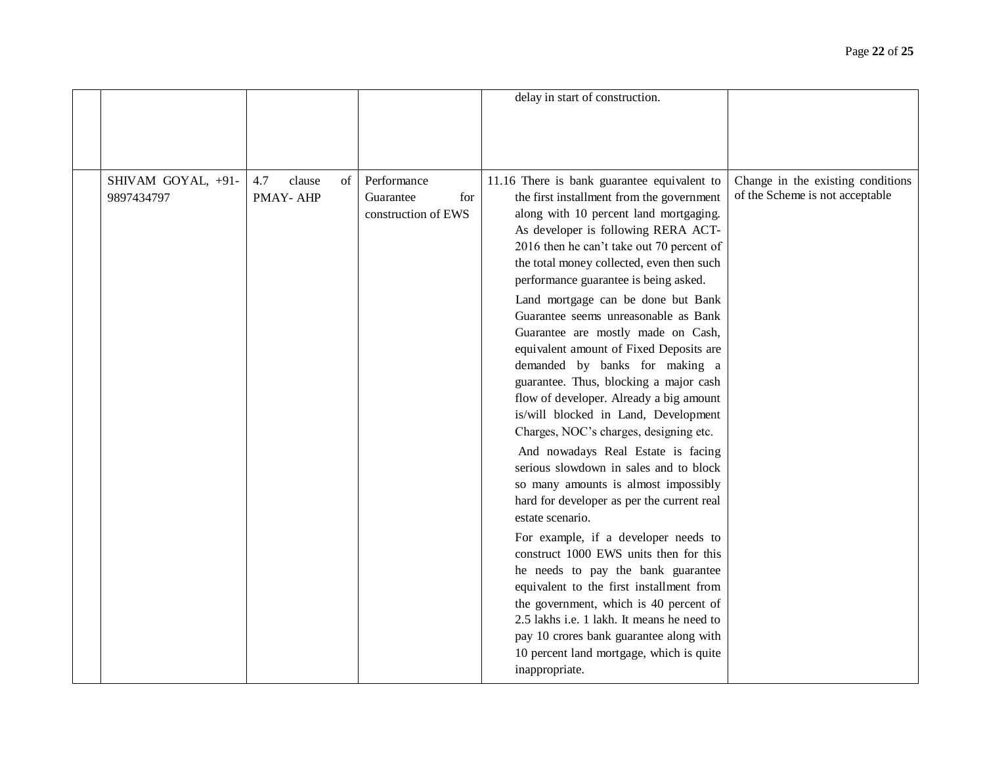|                                  |                                 |                                                        | delay in start of construction.                                                                                                                                                                                                                                                                                                                                                                                                                                                                                                                                                                                                                                                                                                                                                                                                                                                                                                                                                                                                                                                                                                                                                                                                                     |                                                                      |
|----------------------------------|---------------------------------|--------------------------------------------------------|-----------------------------------------------------------------------------------------------------------------------------------------------------------------------------------------------------------------------------------------------------------------------------------------------------------------------------------------------------------------------------------------------------------------------------------------------------------------------------------------------------------------------------------------------------------------------------------------------------------------------------------------------------------------------------------------------------------------------------------------------------------------------------------------------------------------------------------------------------------------------------------------------------------------------------------------------------------------------------------------------------------------------------------------------------------------------------------------------------------------------------------------------------------------------------------------------------------------------------------------------------|----------------------------------------------------------------------|
|                                  |                                 |                                                        |                                                                                                                                                                                                                                                                                                                                                                                                                                                                                                                                                                                                                                                                                                                                                                                                                                                                                                                                                                                                                                                                                                                                                                                                                                                     |                                                                      |
| SHIVAM GOYAL, +91-<br>9897434797 | 4.7<br>clause<br>of<br>PMAY-AHP | Performance<br>for<br>Guarantee<br>construction of EWS | 11.16 There is bank guarantee equivalent to<br>the first installment from the government<br>along with 10 percent land mortgaging.<br>As developer is following RERA ACT-<br>2016 then he can't take out 70 percent of<br>the total money collected, even then such<br>performance guarantee is being asked.<br>Land mortgage can be done but Bank<br>Guarantee seems unreasonable as Bank<br>Guarantee are mostly made on Cash,<br>equivalent amount of Fixed Deposits are<br>demanded by banks for making a<br>guarantee. Thus, blocking a major cash<br>flow of developer. Already a big amount<br>is/will blocked in Land, Development<br>Charges, NOC's charges, designing etc.<br>And nowadays Real Estate is facing<br>serious slowdown in sales and to block<br>so many amounts is almost impossibly<br>hard for developer as per the current real<br>estate scenario.<br>For example, if a developer needs to<br>construct 1000 EWS units then for this<br>he needs to pay the bank guarantee<br>equivalent to the first installment from<br>the government, which is 40 percent of<br>2.5 lakhs i.e. 1 lakh. It means he need to<br>pay 10 crores bank guarantee along with<br>10 percent land mortgage, which is quite<br>inappropriate. | Change in the existing conditions<br>of the Scheme is not acceptable |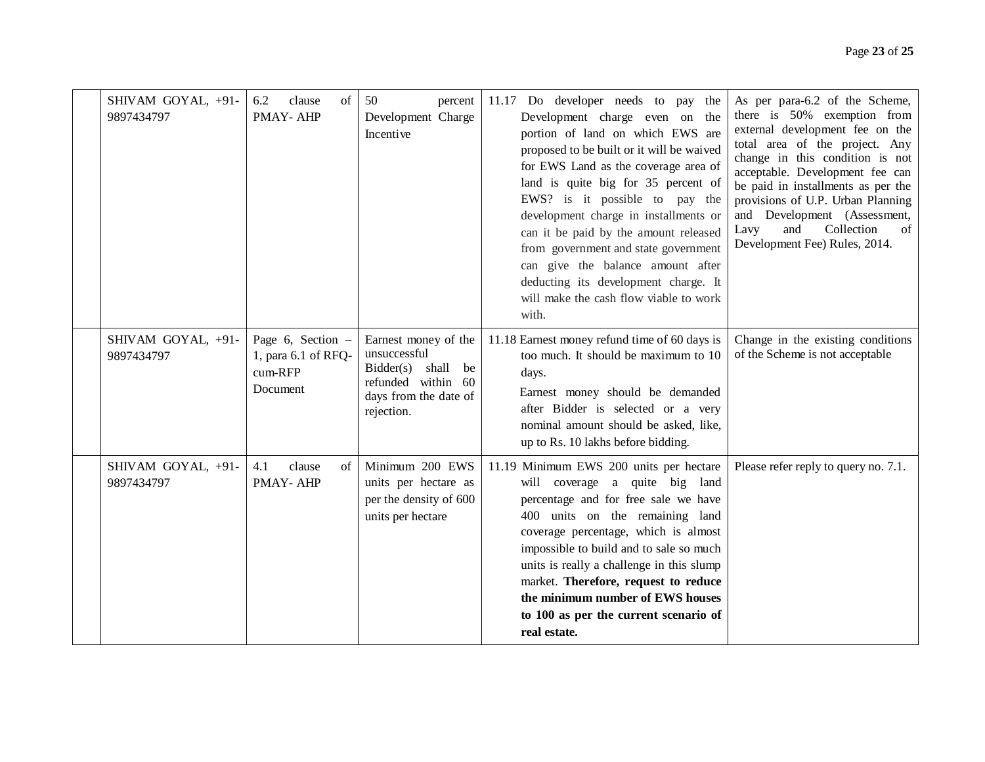|  | SHIVAM GOYAL, +91-<br>9897434797 | 6.2<br>clause<br>$\sigma$ f<br><b>PMAY-AHP</b>                  | 50<br>percent<br>Development Charge<br>Incentive                                                                        | 11.17 Do developer needs to pay the<br>Development charge even on the<br>portion of land on which EWS are<br>proposed to be built or it will be waived<br>for EWS Land as the coverage area of<br>land is quite big for 35 percent of<br>EWS? is it possible to pay the<br>development charge in installments or<br>can it be paid by the amount released<br>from government and state government<br>can give the balance amount after<br>deducting its development charge. It<br>will make the cash flow viable to work | As per para-6.2 of the Scheme,<br>there is 50% exemption from<br>external development fee on the<br>total area of the project. Any<br>change in this condition is not<br>acceptable. Development fee can<br>be paid in installments as per the<br>provisions of U.P. Urban Planning<br>and Development (Assessment,<br>Collection<br>Lavy<br>and<br>of<br>Development Fee) Rules, 2014. |
|--|----------------------------------|-----------------------------------------------------------------|-------------------------------------------------------------------------------------------------------------------------|--------------------------------------------------------------------------------------------------------------------------------------------------------------------------------------------------------------------------------------------------------------------------------------------------------------------------------------------------------------------------------------------------------------------------------------------------------------------------------------------------------------------------|-----------------------------------------------------------------------------------------------------------------------------------------------------------------------------------------------------------------------------------------------------------------------------------------------------------------------------------------------------------------------------------------|
|  | SHIVAM GOYAL, +91-<br>9897434797 | Page 6, Section -<br>1, para 6.1 of RFQ-<br>cum-RFP<br>Document | Earnest money of the<br>unsuccessful<br>Bidder(s) shall be<br>refunded within 60<br>days from the date of<br>rejection. | with.<br>11.18 Earnest money refund time of 60 days is<br>too much. It should be maximum to 10<br>days.<br>Earnest money should be demanded<br>after Bidder is selected or a very<br>nominal amount should be asked, like,<br>up to Rs. 10 lakhs before bidding.                                                                                                                                                                                                                                                         | Change in the existing conditions<br>of the Scheme is not acceptable                                                                                                                                                                                                                                                                                                                    |
|  | SHIVAM GOYAL, +91-<br>9897434797 | 4.1<br>clause<br>of<br>PMAY-AHP                                 | Minimum 200 EWS<br>units per hectare as<br>per the density of 600<br>units per hectare                                  | 11.19 Minimum EWS 200 units per hectare<br>will coverage a quite big land<br>percentage and for free sale we have<br>400 units on the remaining land<br>coverage percentage, which is almost<br>impossible to build and to sale so much<br>units is really a challenge in this slump<br>market. Therefore, request to reduce<br>the minimum number of EWS houses<br>to 100 as per the current scenario of<br>real estate.                                                                                                | Please refer reply to query no. 7.1.                                                                                                                                                                                                                                                                                                                                                    |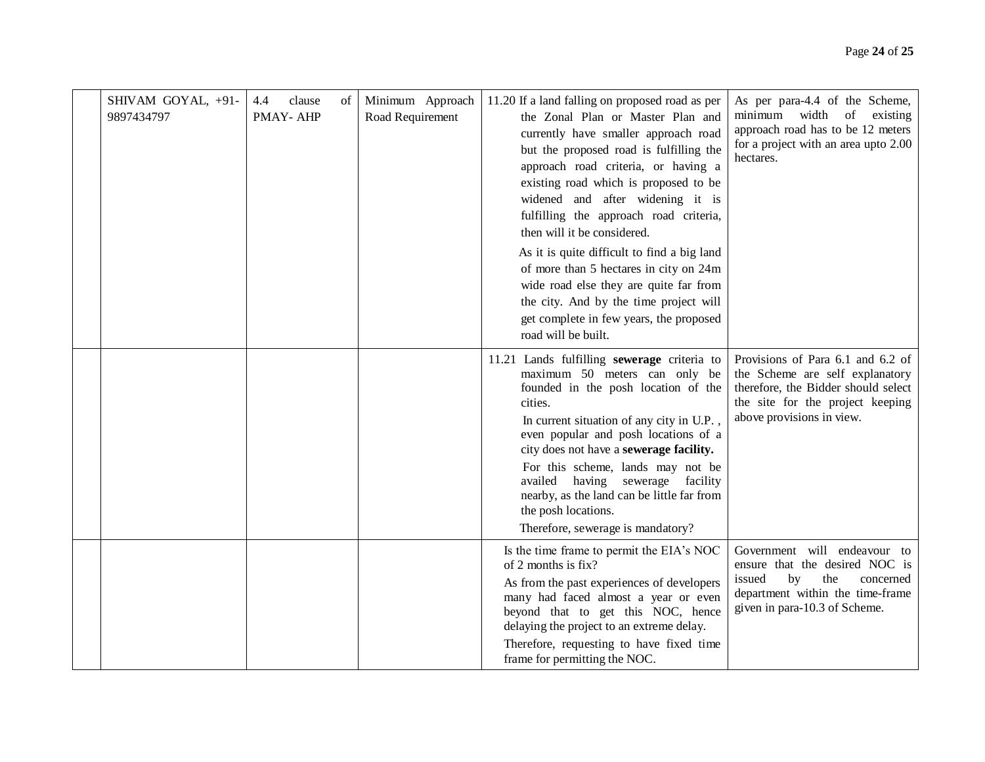| SHIVAM GOYAL, +91-<br>4.4<br>clause<br>9897434797<br>PMAY-AHP | οf | Minimum Approach<br>Road Requirement | 11.20 If a land falling on proposed road as per<br>the Zonal Plan or Master Plan and<br>currently have smaller approach road<br>but the proposed road is fulfilling the<br>approach road criteria, or having a<br>existing road which is proposed to be<br>widened and after widening it is<br>fulfilling the approach road criteria,<br>then will it be considered.<br>As it is quite difficult to find a big land<br>of more than 5 hectares in city on 24m<br>wide road else they are quite far from<br>the city. And by the time project will<br>get complete in few years, the proposed<br>road will be built. | As per para-4.4 of the Scheme,<br>minimum width of existing<br>approach road has to be 12 meters<br>for a project with an area upto 2.00<br>hectares.                        |
|---------------------------------------------------------------|----|--------------------------------------|---------------------------------------------------------------------------------------------------------------------------------------------------------------------------------------------------------------------------------------------------------------------------------------------------------------------------------------------------------------------------------------------------------------------------------------------------------------------------------------------------------------------------------------------------------------------------------------------------------------------|------------------------------------------------------------------------------------------------------------------------------------------------------------------------------|
|                                                               |    |                                      | 11.21 Lands fulfilling sewerage criteria to<br>maximum 50 meters can only be<br>founded in the posh location of the<br>cities.<br>In current situation of any city in U.P.,<br>even popular and posh locations of a<br>city does not have a sewerage facility.<br>For this scheme, lands may not be<br>availed having sewerage facility<br>nearby, as the land can be little far from<br>the posh locations.<br>Therefore, sewerage is mandatory?                                                                                                                                                                   | Provisions of Para 6.1 and 6.2 of<br>the Scheme are self explanatory<br>therefore, the Bidder should select<br>the site for the project keeping<br>above provisions in view. |
|                                                               |    |                                      | Is the time frame to permit the EIA's NOC<br>of 2 months is fix?<br>As from the past experiences of developers<br>many had faced almost a year or even<br>beyond that to get this NOC, hence<br>delaying the project to an extreme delay.<br>Therefore, requesting to have fixed time<br>frame for permitting the NOC.                                                                                                                                                                                                                                                                                              | Government will endeavour to<br>ensure that the desired NOC is<br>the<br>concerned<br>issued<br>by<br>department within the time-frame<br>given in para-10.3 of Scheme.      |